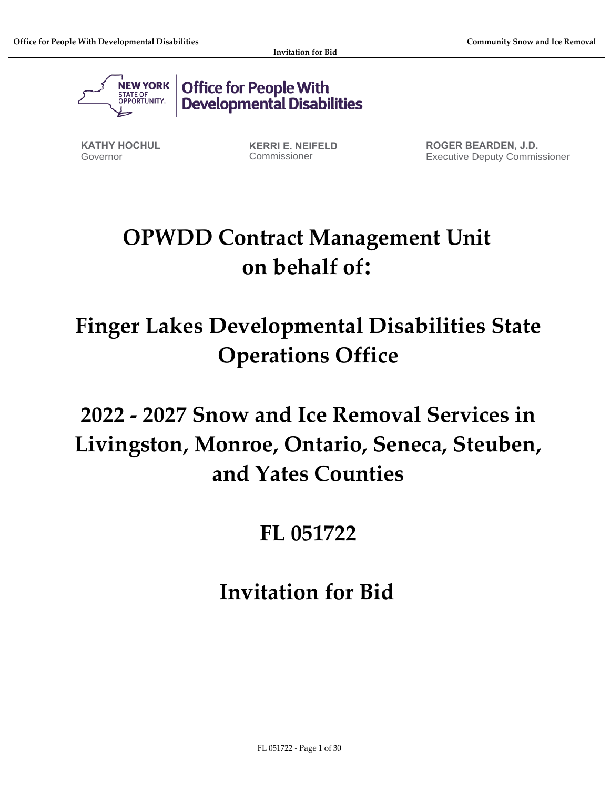

Office for People With<br>Developmental Disabilities

**KATHY HOCHUL** Governor

**KERRI E. NEIFELD** Commissioner

**ROGER BEARDEN, J.D.** Executive Deputy Commissioner

# **OPWDD Contract Management Unit on behalf of:**

# **Finger Lakes Developmental Disabilities State Operations Office**

# **2022 - 2027 Snow and Ice Removal Services in Livingston, Monroe, Ontario, Seneca, Steuben, and Yates Counties**

## **FL 051722**

## **Invitation for Bid**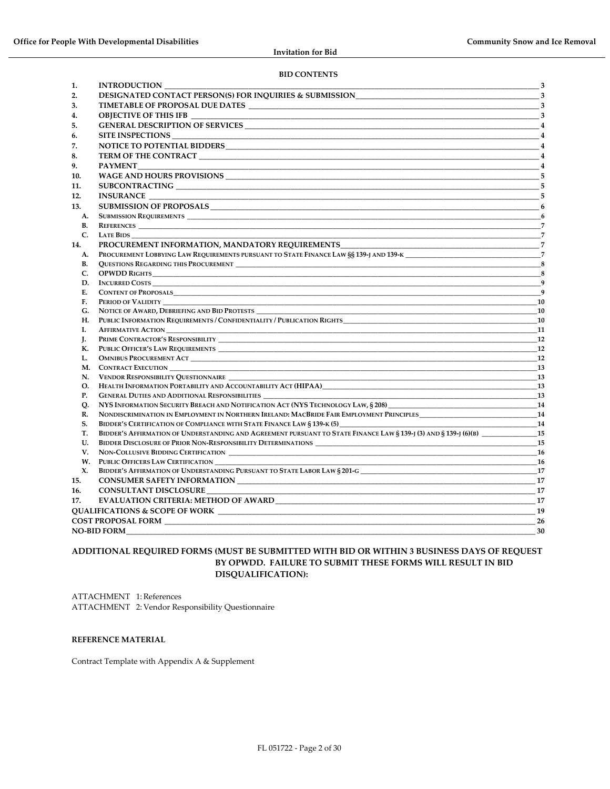#### **BID CONTENTS**

| 1.              | <b>INTRODUCTION</b>                                                                                              | $\overline{\mathbf{3}}$    |
|-----------------|------------------------------------------------------------------------------------------------------------------|----------------------------|
| 2.              | DESIGNATED CONTACT PERSON(S) FOR INQUIRIES & SUBMISSION_________________________                                 | $\overline{\phantom{1}}$ 3 |
| 3.              |                                                                                                                  |                            |
| 4.              | <b>OBJECTIVE OF THIS IFB</b>                                                                                     |                            |
| 5.              |                                                                                                                  | $\overline{4}$             |
| 6.              |                                                                                                                  |                            |
| 7.              |                                                                                                                  |                            |
| 8.              |                                                                                                                  | $\overline{4}$             |
| 9.              | <b>PAYMENT</b>                                                                                                   |                            |
| 10.             |                                                                                                                  |                            |
| 11.             |                                                                                                                  | 5                          |
| 12.             |                                                                                                                  |                            |
| 13.             |                                                                                                                  |                            |
|                 |                                                                                                                  | 6                          |
| A.<br><b>B.</b> |                                                                                                                  |                            |
| $C_{\cdot}$     | <b>REFERENCES</b><br><b>LATE BIDS</b>                                                                            |                            |
| 14.             |                                                                                                                  |                            |
|                 | PROCUREMENT LOBBYING LAW REQUIREMENTS PURSUANT TO STATE FINANCE LAW §§ 139-I AND 139-K 7                         |                            |
| А.<br>В.        |                                                                                                                  | 8                          |
| C.              |                                                                                                                  | $\sim$ 8                   |
| D.              |                                                                                                                  | $\overline{9}$             |
| Е.              | <b>CONTENT OF PROPOSALS</b>                                                                                      | $\overline{9}$             |
| F.              |                                                                                                                  | <b>10</b>                  |
| G.              | NOTICE OF AWARD, DEBRIEFING AND BID PROTESTS                                                                     | <b>10</b>                  |
| Н.              | PUBLIC INFORMATION REQUIREMENTS / CONFIDENTIALITY / PUBLICATION RIGHTS                                           | 10                         |
| I.              | <b>AFFIRMATIVE ACTION</b>                                                                                        | $_{11}$                    |
| J.              |                                                                                                                  | <b>12</b>                  |
| К.              |                                                                                                                  | <b>12</b>                  |
| L.              |                                                                                                                  | 12                         |
|                 |                                                                                                                  | 13                         |
| N.              | VENDOR RESPONSIBILITY QUESTIONNAIRE                                                                              | <b>13</b>                  |
| О.              |                                                                                                                  | 13                         |
| <b>P.</b>       | GENERAL DUTIES AND ADDITIONAL RESPONSIBILITIES<br>13                                                             |                            |
| Q.              |                                                                                                                  | -14                        |
| R.              | NONDISCRIMINATION IN EMPLOYMENT IN NORTHERN IRELAND: MACBRIDE FAIR EMPLOYMENT PRINCIPLES                         | <b>14</b>                  |
| S.              | BIDDER'S CERTIFICATION OF COMPLIANCE WITH STATE FINANCE LAW § 139-K (5)                                          | 14                         |
| Т.              | BIDDER'S AFFIRMATION OF UNDERSTANDING AND AGREEMENT PURSUANT TO STATE FINANCE LAW § 139-J (3) AND § 139-J (6)(B) | <b>15</b>                  |
| U.              |                                                                                                                  | 15                         |
| V.              |                                                                                                                  | -16                        |
|                 | W. PUBLIC OFFICERS LAW CERTIFICATION                                                                             | <b>16</b>                  |
| X.              | BIDDER'S AFFIRMATION OF UNDERSTANDING PURSUANT TO STATE LABOR LAW § 201-G __________________________             | 17                         |
| 15.             |                                                                                                                  | -17                        |
| 16.             | <b>CONSULTANT DISCLOSURE</b>                                                                                     | -17                        |
| 17.             |                                                                                                                  | 17                         |
|                 | QUALIFICATIONS & SCOPE OF WORK                                                                                   | 19                         |
|                 | <b>COST PROPOSAL FORM</b>                                                                                        | 26                         |
|                 | <b>NO-BID FORM</b>                                                                                               | 30                         |

#### **ADDITIONAL REQUIRED FORMS (MUST BE SUBMITTED WITH BID OR WITHIN 3 BUSINESS DAYS OF REQUEST BY OPWDD. FAILURE TO SUBMIT THESE FORMS WILL RESULT IN BID DISQUALIFICATION):**

ATTACHMENT 1: References ATTACHMENT 2: Vendor Responsibility Questionnaire

#### **REFERENCE MATERIAL**

Contract Template with Appendix A & Supplement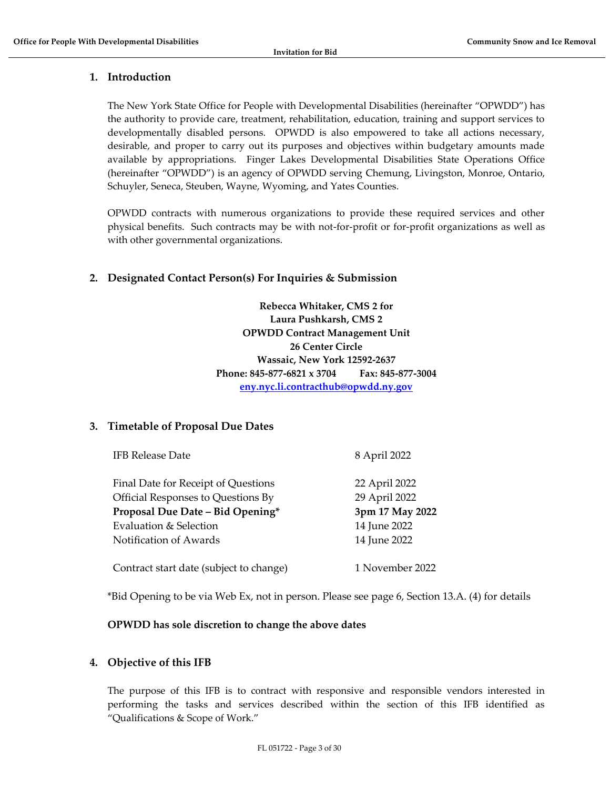## <span id="page-2-0"></span>**1. Introduction**

The New York State Office for People with Developmental Disabilities (hereinafter "OPWDD") has the authority to provide care, treatment, rehabilitation, education, training and support services to developmentally disabled persons. OPWDD is also empowered to take all actions necessary, desirable, and proper to carry out its purposes and objectives within budgetary amounts made available by appropriations. Finger Lakes Developmental Disabilities State Operations Office (hereinafter "OPWDD") is an agency of OPWDD serving Chemung, Livingston, Monroe, Ontario, Schuyler, Seneca, Steuben, Wayne, Wyoming, and Yates Counties.

OPWDD contracts with numerous organizations to provide these required services and other physical benefits. Such contracts may be with not-for-profit or for-profit organizations as well as with other governmental organizations.

## <span id="page-2-1"></span>**2. Designated Contact Person(s) For Inquiries & Submission**

**Rebecca Whitaker, CMS 2 for Laura Pushkarsh, CMS 2 OPWDD Contract Management Unit 26 Center Circle Wassaic, New York 12592-2637 Phone: 845-877-6821 x 3704 Fax: 845-877-3004 [eny.nyc.li.contracthub@opwdd.ny.gov](mailto:eny.nyc.li.contracthub@opwdd.ny.gov)**

## <span id="page-2-2"></span>**3. Timetable of Proposal Due Dates**

| Final Date for Receipt of Questions     | 22 April 2022   |
|-----------------------------------------|-----------------|
| Official Responses to Questions By      | 29 April 2022   |
| Proposal Due Date - Bid Opening*        | 3pm 17 May 2022 |
| Evaluation & Selection                  | 14 June 2022    |
| Notification of Awards                  | 14 June 2022    |
| Contract start date (subject to change) | 1 November 2022 |

IFB Release Date 8 April 2022

\*Bid Opening to be via Web Ex, not in person. Please see page 6, Section 13.A. (4) for details

## **OPWDD has sole discretion to change the above dates**

## <span id="page-2-3"></span>**4. Objective of this IFB**

The purpose of this IFB is to contract with responsive and responsible vendors interested in performing the tasks and services described within the section of this IFB identified as "Qualifications & Scope of Work."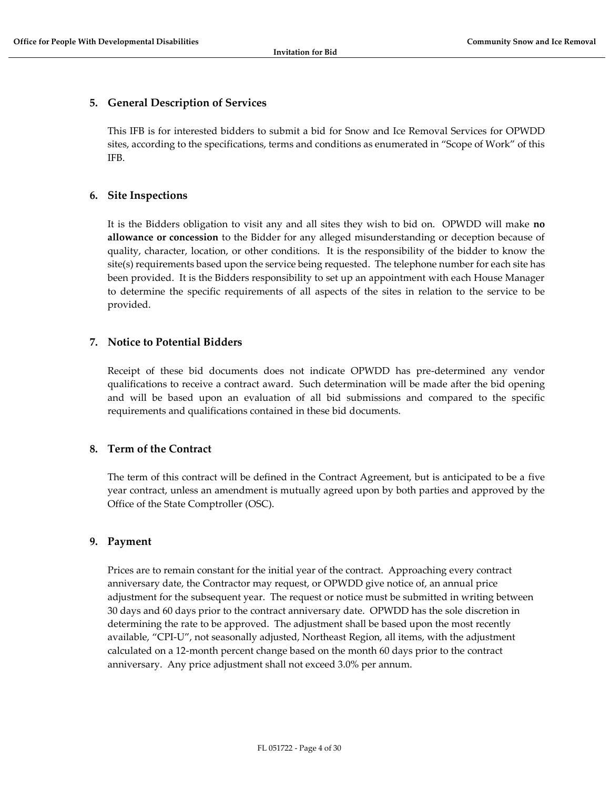## <span id="page-3-0"></span>**5. General Description of Services**

This IFB is for interested bidders to submit a bid for Snow and Ice Removal Services for OPWDD sites, according to the specifications, terms and conditions as enumerated in "Scope of Work" of this IFB.

## <span id="page-3-1"></span>**6. Site Inspections**

It is the Bidders obligation to visit any and all sites they wish to bid on. OPWDD will make **no allowance or concession** to the Bidder for any alleged misunderstanding or deception because of quality, character, location, or other conditions. It is the responsibility of the bidder to know the site(s) requirements based upon the service being requested. The telephone number for each site has been provided. It is the Bidders responsibility to set up an appointment with each House Manager to determine the specific requirements of all aspects of the sites in relation to the service to be provided.

## <span id="page-3-2"></span>**7. Notice to Potential Bidders**

Receipt of these bid documents does not indicate OPWDD has pre-determined any vendor qualifications to receive a contract award. Such determination will be made after the bid opening and will be based upon an evaluation of all bid submissions and compared to the specific requirements and qualifications contained in these bid documents.

## <span id="page-3-3"></span>**8. Term of the Contract**

The term of this contract will be defined in the Contract Agreement, but is anticipated to be a five year contract, unless an amendment is mutually agreed upon by both parties and approved by the Office of the State Comptroller (OSC).

## <span id="page-3-4"></span>**9. Payment**

Prices are to remain constant for the initial year of the contract. Approaching every contract anniversary date, the Contractor may request, or OPWDD give notice of, an annual price adjustment for the subsequent year. The request or notice must be submitted in writing between 30 days and 60 days prior to the contract anniversary date. OPWDD has the sole discretion in determining the rate to be approved. The adjustment shall be based upon the most recently available, "CPI-U", not seasonally adjusted, Northeast Region, all items, with the adjustment calculated on a 12-month percent change based on the month 60 days prior to the contract anniversary. Any price adjustment shall not exceed 3.0% per annum.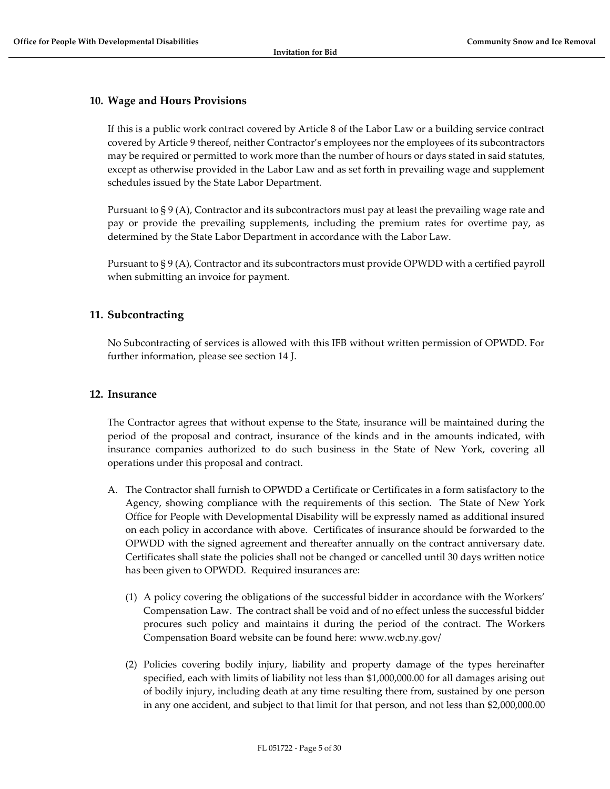#### <span id="page-4-0"></span>**10. Wage and Hours Provisions**

If this is a public work contract covered by Article 8 of the Labor Law or a building service contract covered by Article 9 thereof, neither Contractor's employees nor the employees of its subcontractors may be required or permitted to work more than the number of hours or days stated in said statutes, except as otherwise provided in the Labor Law and as set forth in prevailing wage and supplement schedules issued by the State Labor Department.

Pursuant to § 9 (A), Contractor and its subcontractors must pay at least the prevailing wage rate and pay or provide the prevailing supplements, including the premium rates for overtime pay, as determined by the State Labor Department in accordance with the Labor Law.

Pursuant to § 9 (A), Contractor and its subcontractors must provide OPWDD with a certified payroll when submitting an invoice for payment.

#### <span id="page-4-1"></span>**11. Subcontracting**

No Subcontracting of services is allowed with this IFB without written permission of OPWDD. For further information, please see section 14 J.

#### <span id="page-4-2"></span>**12. Insurance**

The Contractor agrees that without expense to the State, insurance will be maintained during the period of the proposal and contract, insurance of the kinds and in the amounts indicated, with insurance companies authorized to do such business in the State of New York, covering all operations under this proposal and contract.

- A. The Contractor shall furnish to OPWDD a Certificate or Certificates in a form satisfactory to the Agency, showing compliance with the requirements of this section. The State of New York Office for People with Developmental Disability will be expressly named as additional insured on each policy in accordance with above. Certificates of insurance should be forwarded to the OPWDD with the signed agreement and thereafter annually on the contract anniversary date. Certificates shall state the policies shall not be changed or cancelled until 30 days written notice has been given to OPWDD. Required insurances are:
	- (1) A policy covering the obligations of the successful bidder in accordance with the Workers' Compensation Law. The contract shall be void and of no effect unless the successful bidder procures such policy and maintains it during the period of the contract. The Workers Compensation Board website can be found here: www.wcb.ny.gov/
	- (2) Policies covering bodily injury, liability and property damage of the types hereinafter specified, each with limits of liability not less than \$1,000,000.00 for all damages arising out of bodily injury, including death at any time resulting there from, sustained by one person in any one accident, and subject to that limit for that person, and not less than \$2,000,000.00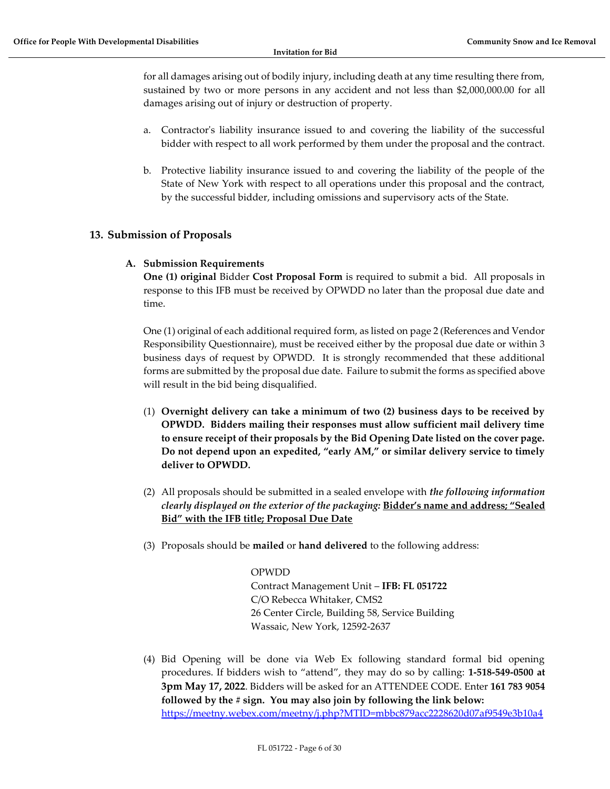for all damages arising out of bodily injury, including death at any time resulting there from, sustained by two or more persons in any accident and not less than \$2,000,000.00 for all damages arising out of injury or destruction of property.

- a. Contractor's liability insurance issued to and covering the liability of the successful bidder with respect to all work performed by them under the proposal and the contract.
- b. Protective liability insurance issued to and covering the liability of the people of the State of New York with respect to all operations under this proposal and the contract, by the successful bidder, including omissions and supervisory acts of the State.

## <span id="page-5-1"></span><span id="page-5-0"></span>**13. Submission of Proposals**

## **A. Submission Requirements**

**One (1) original** Bidder **Cost Proposal Form** is required to submit a bid. All proposals in response to this IFB must be received by OPWDD no later than the proposal due date and time.

One (1) original of each additional required form, as listed on page 2 (References and Vendor Responsibility Questionnaire), must be received either by the proposal due date or within 3 business days of request by OPWDD. It is strongly recommended that these additional forms are submitted by the proposal due date. Failure to submit the forms as specified above will result in the bid being disqualified.

- (1) **Overnight delivery can take a minimum of two (2) business days to be received by OPWDD. Bidders mailing their responses must allow sufficient mail delivery time to ensure receipt of their proposals by the Bid Opening Date listed on the cover page. Do not depend upon an expedited, "early AM," or similar delivery service to timely deliver to OPWDD.**
- (2) All proposals should be submitted in a sealed envelope with *the following information clearly displayed on the exterior of the packaging:* **Bidder's name and address; "Sealed Bid" with the IFB title; Proposal Due Date**
- (3) Proposals should be **mailed** or **hand delivered** to the following address:

#### OPWDD

Contract Management Unit – **IFB: FL 051722** C/O Rebecca Whitaker, CMS2 26 Center Circle, Building 58, Service Building Wassaic, New York, 12592-2637

(4) Bid Opening will be done via Web Ex following standard formal bid opening procedures. If bidders wish to "attend", they may do so by calling: **1-518-549-0500 at 3pm May 17, 2022**. Bidders will be asked for an ATTENDEE CODE. Enter **161 783 9054 followed by the # sign. You may also join by following the link below:** <https://meetny.webex.com/meetny/j.php?MTID=mbbc879acc2228620d07af9549e3b10a4>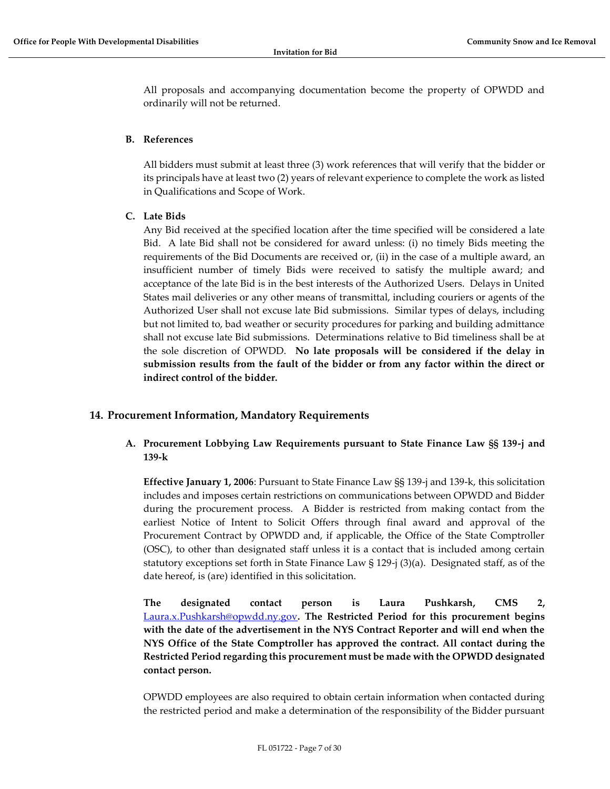All proposals and accompanying documentation become the property of OPWDD and ordinarily will not be returned.

#### <span id="page-6-0"></span>**B. References**

All bidders must submit at least three (3) work references that will verify that the bidder or its principals have at least two (2) years of relevant experience to complete the work as listed in Qualifications and Scope of Work.

## <span id="page-6-1"></span>**C. Late Bids**

Any Bid received at the specified location after the time specified will be considered a late Bid. A late Bid shall not be considered for award unless: (i) no timely Bids meeting the requirements of the Bid Documents are received or, (ii) in the case of a multiple award, an insufficient number of timely Bids were received to satisfy the multiple award; and acceptance of the late Bid is in the best interests of the Authorized Users. Delays in United States mail deliveries or any other means of transmittal, including couriers or agents of the Authorized User shall not excuse late Bid submissions. Similar types of delays, including but not limited to, bad weather or security procedures for parking and building admittance shall not excuse late Bid submissions. Determinations relative to Bid timeliness shall be at the sole discretion of OPWDD. **No late proposals will be considered if the delay in submission results from the fault of the bidder or from any factor within the direct or indirect control of the bidder.**

## <span id="page-6-3"></span><span id="page-6-2"></span>**14. Procurement Information, Mandatory Requirements**

## **A. Procurement Lobbying Law Requirements pursuant to State Finance Law §§ 139-j and 139-k**

**Effective January 1, 2006**: Pursuant to State Finance Law §§ 139-j and 139-k, this solicitation includes and imposes certain restrictions on communications between OPWDD and Bidder during the procurement process. A Bidder is restricted from making contact from the earliest Notice of Intent to Solicit Offers through final award and approval of the Procurement Contract by OPWDD and, if applicable, the Office of the State Comptroller (OSC), to other than designated staff unless it is a contact that is included among certain statutory exceptions set forth in State Finance Law § 129-j (3)(a). Designated staff, as of the date hereof, is (are) identified in this solicitation.

**The designated contact person is Laura Pushkarsh, CMS 2[,](mailto:%20Laura.x.Pushkarsh@opwdd.ny.gov)** [Laura.x.Pushkarsh@opwdd.ny.gov](mailto:%20Laura.x.Pushkarsh@opwdd.ny.gov)**. The Restricted Period for this procurement begins with the date of the advertisement in the NYS Contract Reporter and will end when the NYS Office of the State Comptroller has approved the contract. All contact during the Restricted Period regarding this procurement must be made with the OPWDD designated contact person.** 

OPWDD employees are also required to obtain certain information when contacted during the restricted period and make a determination of the responsibility of the Bidder pursuant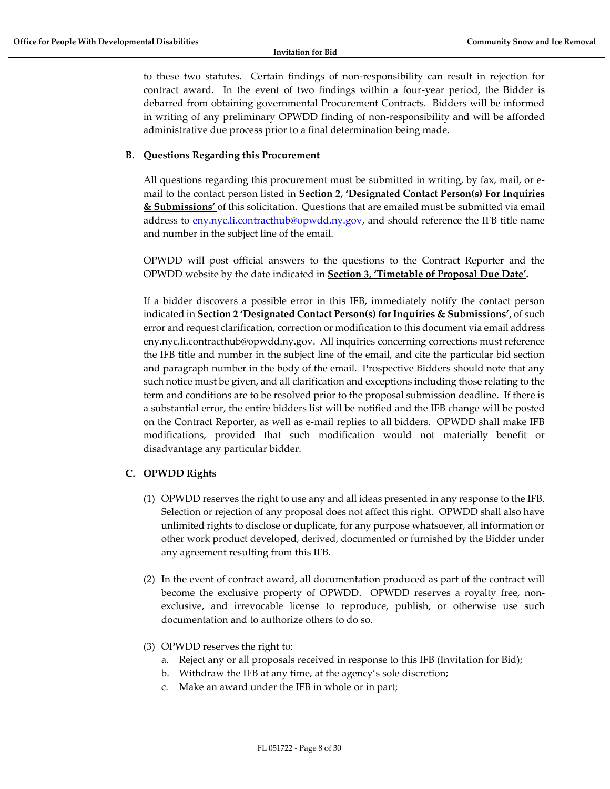to these two statutes. Certain findings of non-responsibility can result in rejection for contract award. In the event of two findings within a four-year period, the Bidder is debarred from obtaining governmental Procurement Contracts. Bidders will be informed in writing of any preliminary OPWDD finding of non-responsibility and will be afforded administrative due process prior to a final determination being made.

#### <span id="page-7-0"></span>**B. Questions Regarding this Procurement**

All questions regarding this procurement must be submitted in writing, by fax, mail, or email to the contact person listed in **Section 2, 'Designated Contact Person(s) For Inquiries & Submissions'** of this solicitation. Questions that are emailed must be submitted via email address to [eny.nyc.li.contracthub@opwdd.ny.gov,](mailto:eny.nyc.li.contracthub@opwdd.ny.gov) and should reference the IFB title name and number in the subject line of the email.

OPWDD will post official answers to the questions to the Contract Reporter and the OPWDD website by the date indicated in **Section 3, 'Timetable of Proposal Due Date'.**

If a bidder discovers a possible error in this IFB, immediately notify the contact person indicated in **Section 2 'Designated Contact Person(s) for Inquiries & Submissions'**, of such error and request clarification, correction or modification to this document via email address eny.nyc.li.contracthub@opwdd.ny.gov. All inquiries concerning corrections must reference the IFB title and number in the subject line of the email, and cite the particular bid section and paragraph number in the body of the email. Prospective Bidders should note that any such notice must be given, and all clarification and exceptions including those relating to the term and conditions are to be resolved prior to the proposal submission deadline. If there is a substantial error, the entire bidders list will be notified and the IFB change will be posted on the Contract Reporter, as well as e-mail replies to all bidders. OPWDD shall make IFB modifications, provided that such modification would not materially benefit or disadvantage any particular bidder.

#### <span id="page-7-1"></span>**C. OPWDD Rights**

- (1) OPWDD reserves the right to use any and all ideas presented in any response to the IFB. Selection or rejection of any proposal does not affect this right. OPWDD shall also have unlimited rights to disclose or duplicate, for any purpose whatsoever, all information or other work product developed, derived, documented or furnished by the Bidder under any agreement resulting from this IFB.
- (2) In the event of contract award, all documentation produced as part of the contract will become the exclusive property of OPWDD. OPWDD reserves a royalty free, nonexclusive, and irrevocable license to reproduce, publish, or otherwise use such documentation and to authorize others to do so.
- (3) OPWDD reserves the right to:
	- a. Reject any or all proposals received in response to this IFB (Invitation for Bid);
	- b. Withdraw the IFB at any time, at the agency's sole discretion;
	- c. Make an award under the IFB in whole or in part;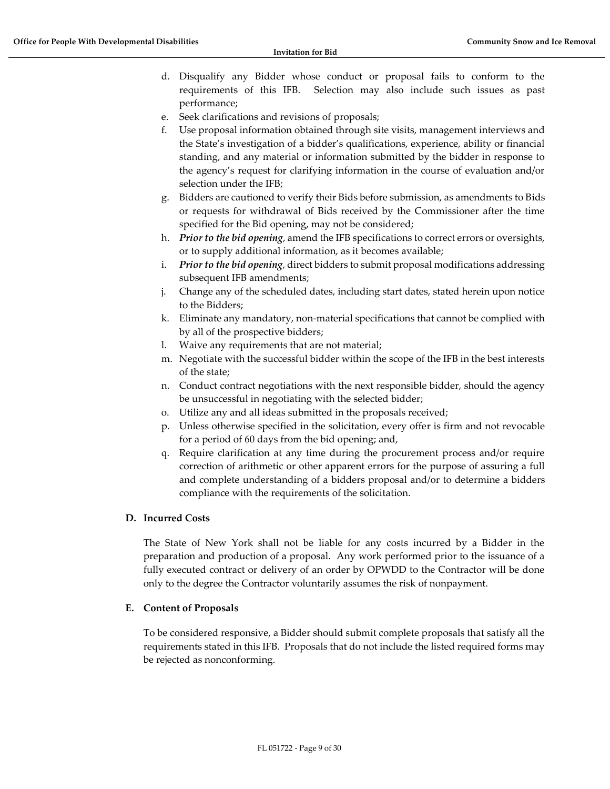- d. Disqualify any Bidder whose conduct or proposal fails to conform to the requirements of this IFB. Selection may also include such issues as past performance;
- e. Seek clarifications and revisions of proposals;
- f. Use proposal information obtained through site visits, management interviews and the State's investigation of a bidder's qualifications, experience, ability or financial standing, and any material or information submitted by the bidder in response to the agency's request for clarifying information in the course of evaluation and/or selection under the IFB;
- g. Bidders are cautioned to verify their Bids before submission, as amendments to Bids or requests for withdrawal of Bids received by the Commissioner after the time specified for the Bid opening, may not be considered;
- h. *Prior to the bid opening*, amend the IFB specifications to correct errors or oversights, or to supply additional information, as it becomes available;
- i. *Prior to the bid opening*, direct bidders to submit proposal modifications addressing subsequent IFB amendments;
- j. Change any of the scheduled dates, including start dates, stated herein upon notice to the Bidders;
- k. Eliminate any mandatory, non-material specifications that cannot be complied with by all of the prospective bidders;
- l. Waive any requirements that are not material;
- m. Negotiate with the successful bidder within the scope of the IFB in the best interests of the state;
- n. Conduct contract negotiations with the next responsible bidder, should the agency be unsuccessful in negotiating with the selected bidder;
- o. Utilize any and all ideas submitted in the proposals received;
- p. Unless otherwise specified in the solicitation, every offer is firm and not revocable for a period of 60 days from the bid opening; and,
- q. Require clarification at any time during the procurement process and/or require correction of arithmetic or other apparent errors for the purpose of assuring a full and complete understanding of a bidders proposal and/or to determine a bidders compliance with the requirements of the solicitation.

#### <span id="page-8-0"></span>**D. Incurred Costs**

The State of New York shall not be liable for any costs incurred by a Bidder in the preparation and production of a proposal. Any work performed prior to the issuance of a fully executed contract or delivery of an order by OPWDD to the Contractor will be done only to the degree the Contractor voluntarily assumes the risk of nonpayment.

#### <span id="page-8-1"></span>**E. Content of Proposals**

To be considered responsive, a Bidder should submit complete proposals that satisfy all the requirements stated in this IFB. Proposals that do not include the listed required forms may be rejected as nonconforming.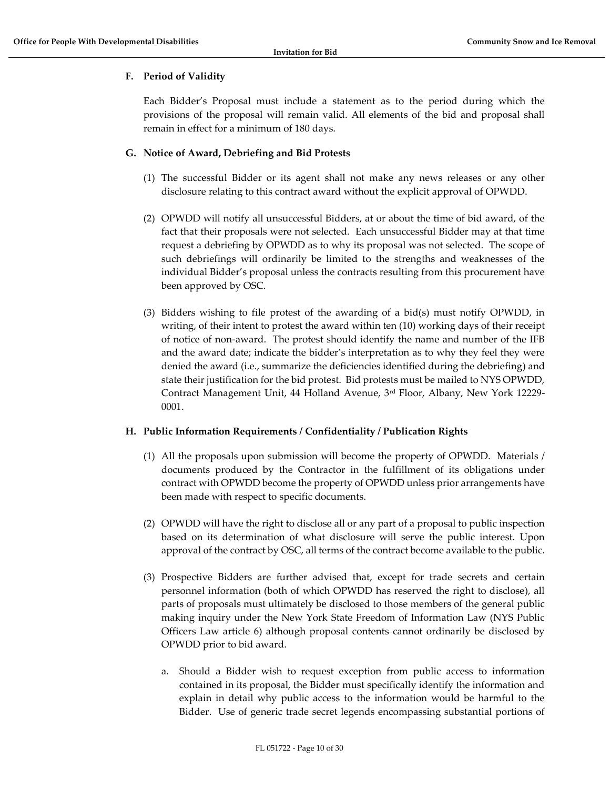## <span id="page-9-0"></span>**F. Period of Validity**

Each Bidder's Proposal must include a statement as to the period during which the provisions of the proposal will remain valid. All elements of the bid and proposal shall remain in effect for a minimum of 180 days.

#### <span id="page-9-1"></span>**G. Notice of Award, Debriefing and Bid Protests**

- (1) The successful Bidder or its agent shall not make any news releases or any other disclosure relating to this contract award without the explicit approval of OPWDD.
- (2) OPWDD will notify all unsuccessful Bidders, at or about the time of bid award, of the fact that their proposals were not selected. Each unsuccessful Bidder may at that time request a debriefing by OPWDD as to why its proposal was not selected. The scope of such debriefings will ordinarily be limited to the strengths and weaknesses of the individual Bidder's proposal unless the contracts resulting from this procurement have been approved by OSC.
- (3) Bidders wishing to file protest of the awarding of a bid(s) must notify OPWDD, in writing, of their intent to protest the award within ten (10) working days of their receipt of notice of non-award. The protest should identify the name and number of the IFB and the award date; indicate the bidder's interpretation as to why they feel they were denied the award (i.e., summarize the deficiencies identified during the debriefing) and state their justification for the bid protest. Bid protests must be mailed to NYS OPWDD, Contract Management Unit, 44 Holland Avenue, 3rd Floor, Albany, New York 12229- 0001.

#### <span id="page-9-2"></span>**H. Public Information Requirements / Confidentiality / Publication Rights**

- (1) All the proposals upon submission will become the property of OPWDD. Materials / documents produced by the Contractor in the fulfillment of its obligations under contract with OPWDD become the property of OPWDD unless prior arrangements have been made with respect to specific documents.
- (2) OPWDD will have the right to disclose all or any part of a proposal to public inspection based on its determination of what disclosure will serve the public interest. Upon approval of the contract by OSC, all terms of the contract become available to the public.
- (3) Prospective Bidders are further advised that, except for trade secrets and certain personnel information (both of which OPWDD has reserved the right to disclose), all parts of proposals must ultimately be disclosed to those members of the general public making inquiry under the New York State Freedom of Information Law (NYS Public Officers Law article 6) although proposal contents cannot ordinarily be disclosed by OPWDD prior to bid award.
	- a. Should a Bidder wish to request exception from public access to information contained in its proposal, the Bidder must specifically identify the information and explain in detail why public access to the information would be harmful to the Bidder. Use of generic trade secret legends encompassing substantial portions of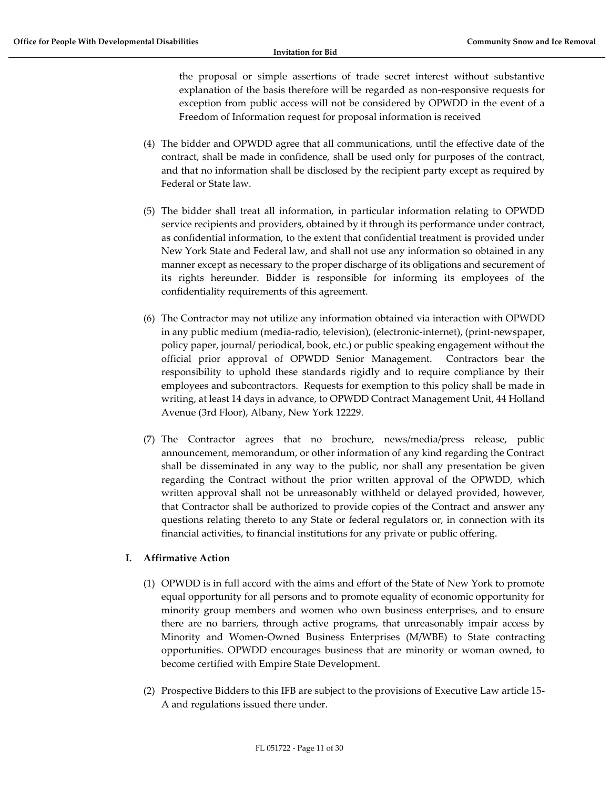the proposal or simple assertions of trade secret interest without substantive explanation of the basis therefore will be regarded as non-responsive requests for exception from public access will not be considered by OPWDD in the event of a Freedom of Information request for proposal information is received

- (4) The bidder and OPWDD agree that all communications, until the effective date of the contract, shall be made in confidence, shall be used only for purposes of the contract, and that no information shall be disclosed by the recipient party except as required by Federal or State law.
- (5) The bidder shall treat all information, in particular information relating to OPWDD service recipients and providers, obtained by it through its performance under contract, as confidential information, to the extent that confidential treatment is provided under New York State and Federal law, and shall not use any information so obtained in any manner except as necessary to the proper discharge of its obligations and securement of its rights hereunder. Bidder is responsible for informing its employees of the confidentiality requirements of this agreement.
- (6) The Contractor may not utilize any information obtained via interaction with OPWDD in any public medium (media-radio, television), (electronic-internet), (print-newspaper, policy paper, journal/ periodical, book, etc.) or public speaking engagement without the official prior approval of OPWDD Senior Management. Contractors bear the responsibility to uphold these standards rigidly and to require compliance by their employees and subcontractors. Requests for exemption to this policy shall be made in writing, at least 14 days in advance, to OPWDD Contract Management Unit, 44 Holland Avenue (3rd Floor), Albany, New York 12229.
- (7) The Contractor agrees that no brochure, news/media/press release, public announcement, memorandum, or other information of any kind regarding the Contract shall be disseminated in any way to the public, nor shall any presentation be given regarding the Contract without the prior written approval of the OPWDD, which written approval shall not be unreasonably withheld or delayed provided, however, that Contractor shall be authorized to provide copies of the Contract and answer any questions relating thereto to any State or federal regulators or, in connection with its financial activities, to financial institutions for any private or public offering.

#### <span id="page-10-0"></span>**I. Affirmative Action**

- (1) OPWDD is in full accord with the aims and effort of the State of New York to promote equal opportunity for all persons and to promote equality of economic opportunity for minority group members and women who own business enterprises, and to ensure there are no barriers, through active programs, that unreasonably impair access by Minority and Women-Owned Business Enterprises (M/WBE) to State contracting opportunities. OPWDD encourages business that are minority or woman owned, to become certified with Empire State Development.
- (2) Prospective Bidders to this IFB are subject to the provisions of Executive Law article 15- A and regulations issued there under.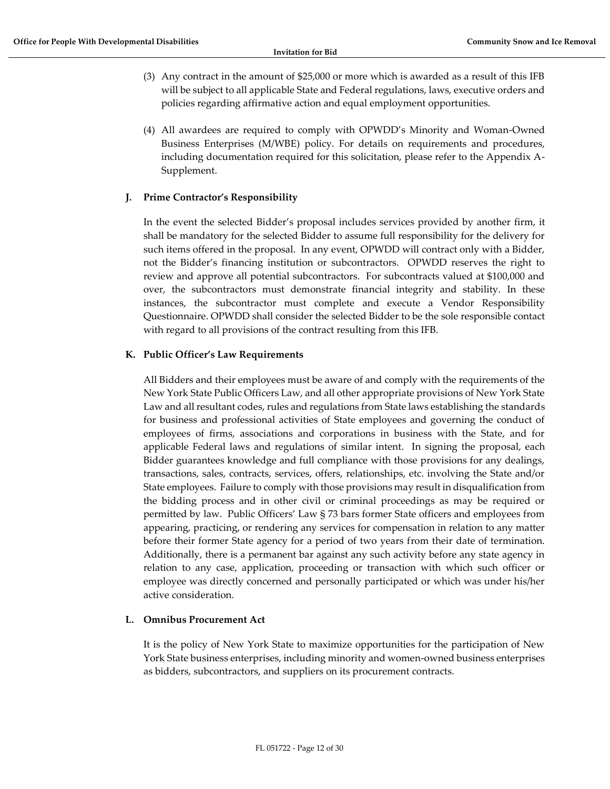- (3) Any contract in the amount of \$25,000 or more which is awarded as a result of this IFB will be subject to all applicable State and Federal regulations, laws, executive orders and policies regarding affirmative action and equal employment opportunities.
- (4) All awardees are required to comply with OPWDD's Minority and Woman-Owned Business Enterprises (M/WBE) policy. For details on requirements and procedures, including documentation required for this solicitation, please refer to the Appendix A-Supplement.

## <span id="page-11-0"></span>**J. Prime Contractor's Responsibility**

In the event the selected Bidder's proposal includes services provided by another firm, it shall be mandatory for the selected Bidder to assume full responsibility for the delivery for such items offered in the proposal. In any event, OPWDD will contract only with a Bidder, not the Bidder's financing institution or subcontractors. OPWDD reserves the right to review and approve all potential subcontractors. For subcontracts valued at \$100,000 and over, the subcontractors must demonstrate financial integrity and stability. In these instances, the subcontractor must complete and execute a Vendor Responsibility Questionnaire. OPWDD shall consider the selected Bidder to be the sole responsible contact with regard to all provisions of the contract resulting from this IFB.

## <span id="page-11-1"></span>**K. Public Officer's Law Requirements**

All Bidders and their employees must be aware of and comply with the requirements of the New York State Public Officers Law, and all other appropriate provisions of New York State Law and all resultant codes, rules and regulations from State laws establishing the standards for business and professional activities of State employees and governing the conduct of employees of firms, associations and corporations in business with the State, and for applicable Federal laws and regulations of similar intent. In signing the proposal, each Bidder guarantees knowledge and full compliance with those provisions for any dealings, transactions, sales, contracts, services, offers, relationships, etc. involving the State and/or State employees. Failure to comply with those provisions may result in disqualification from the bidding process and in other civil or criminal proceedings as may be required or permitted by law. Public Officers' Law § 73 bars former State officers and employees from appearing, practicing, or rendering any services for compensation in relation to any matter before their former State agency for a period of two years from their date of termination. Additionally, there is a permanent bar against any such activity before any state agency in relation to any case, application, proceeding or transaction with which such officer or employee was directly concerned and personally participated or which was under his/her active consideration.

#### <span id="page-11-2"></span>**L. Omnibus Procurement Act**

It is the policy of New York State to maximize opportunities for the participation of New York State business enterprises, including minority and women-owned business enterprises as bidders, subcontractors, and suppliers on its procurement contracts.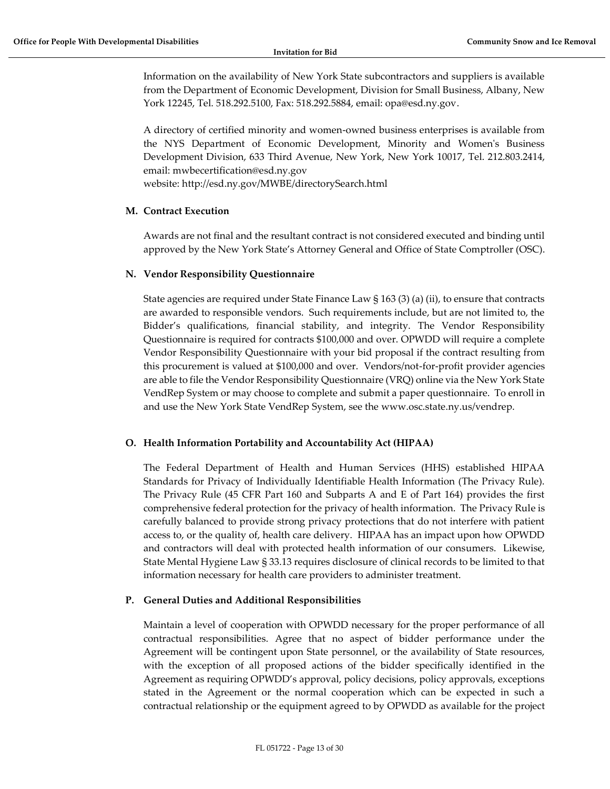Information on the availability of New York State subcontractors and suppliers is available from the Department of Economic Development, Division for Small Business, Albany, New York 12245, Tel. 518.292.5100, Fax: 518.292.5884, email: opa@esd.ny.gov.

A directory of certified minority and women-owned business enterprises is available from the NYS Department of Economic Development, Minority and Women's Business Development Division, 633 Third Avenue, New York, New York 10017, Tel. 212.803.2414, email: mwbecertification@esd.ny.gov website: http://esd.ny.gov/MWBE/directorySearch.html

## <span id="page-12-0"></span>**M. Contract Execution**

Awards are not final and the resultant contract is not considered executed and binding until approved by the New York State's Attorney General and Office of State Comptroller (OSC).

## <span id="page-12-1"></span>**N. Vendor Responsibility Questionnaire**

State agencies are required under State Finance Law § 163 (3) (a) (ii), to ensure that contracts are awarded to responsible vendors. Such requirements include, but are not limited to, the Bidder's qualifications, financial stability, and integrity. The Vendor Responsibility Questionnaire is required for contracts \$100,000 and over. OPWDD will require a complete Vendor Responsibility Questionnaire with your bid proposal if the contract resulting from this procurement is valued at \$100,000 and over. Vendors/not-for-profit provider agencies are able to file the Vendor Responsibility Questionnaire (VRQ) online via the New York State VendRep System or may choose to complete and submit a paper questionnaire. To enroll in and use the New York State VendRep System, see the www.osc.state.ny.us/vendrep.

#### <span id="page-12-2"></span>**O. Health Information Portability and Accountability Act (HIPAA)**

The Federal Department of Health and Human Services (HHS) established HIPAA Standards for Privacy of Individually Identifiable Health Information (The Privacy Rule). The Privacy Rule (45 CFR Part 160 and Subparts A and E of Part 164) provides the first comprehensive federal protection for the privacy of health information. The Privacy Rule is carefully balanced to provide strong privacy protections that do not interfere with patient access to, or the quality of, health care delivery. HIPAA has an impact upon how OPWDD and contractors will deal with protected health information of our consumers. Likewise, State Mental Hygiene Law § 33.13 requires disclosure of clinical records to be limited to that information necessary for health care providers to administer treatment.

## <span id="page-12-3"></span>**P. General Duties and Additional Responsibilities**

Maintain a level of cooperation with OPWDD necessary for the proper performance of all contractual responsibilities. Agree that no aspect of bidder performance under the Agreement will be contingent upon State personnel, or the availability of State resources, with the exception of all proposed actions of the bidder specifically identified in the Agreement as requiring OPWDD's approval, policy decisions, policy approvals, exceptions stated in the Agreement or the normal cooperation which can be expected in such a contractual relationship or the equipment agreed to by OPWDD as available for the project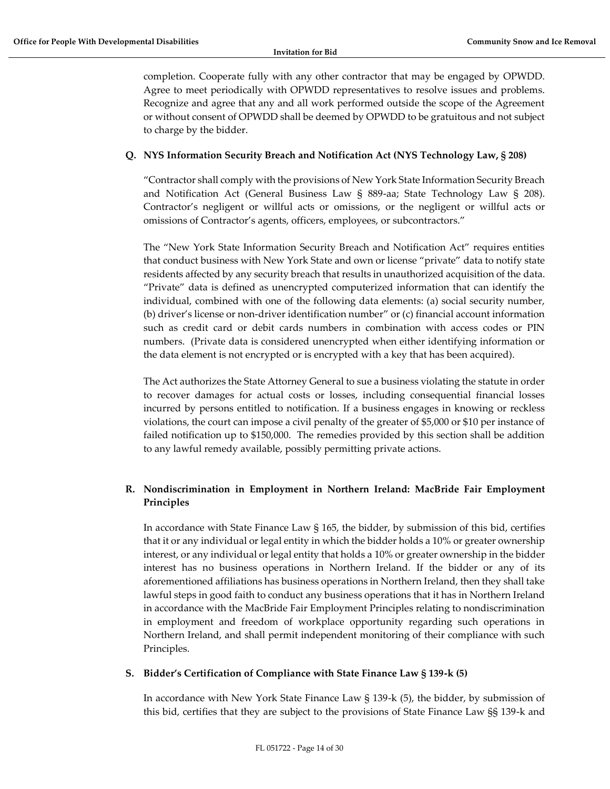completion. Cooperate fully with any other contractor that may be engaged by OPWDD. Agree to meet periodically with OPWDD representatives to resolve issues and problems. Recognize and agree that any and all work performed outside the scope of the Agreement or without consent of OPWDD shall be deemed by OPWDD to be gratuitous and not subject to charge by the bidder.

## <span id="page-13-0"></span>**Q. NYS Information Security Breach and Notification Act (NYS Technology Law, § 208)**

"Contractor shall comply with the provisions of New York State Information Security Breach and Notification Act (General Business Law § 889-aa; State Technology Law § 208). Contractor's negligent or willful acts or omissions, or the negligent or willful acts or omissions of Contractor's agents, officers, employees, or subcontractors."

The "New York State Information Security Breach and Notification Act" requires entities that conduct business with New York State and own or license "private" data to notify state residents affected by any security breach that results in unauthorized acquisition of the data. "Private" data is defined as unencrypted computerized information that can identify the individual, combined with one of the following data elements: (a) social security number, (b) driver's license or non-driver identification number" or (c) financial account information such as credit card or debit cards numbers in combination with access codes or PIN numbers. (Private data is considered unencrypted when either identifying information or the data element is not encrypted or is encrypted with a key that has been acquired).

The Act authorizes the State Attorney General to sue a business violating the statute in order to recover damages for actual costs or losses, including consequential financial losses incurred by persons entitled to notification. If a business engages in knowing or reckless violations, the court can impose a civil penalty of the greater of \$5,000 or \$10 per instance of failed notification up to \$150,000. The remedies provided by this section shall be addition to any lawful remedy available, possibly permitting private actions.

## <span id="page-13-1"></span>**R. Nondiscrimination in Employment in Northern Ireland: MacBride Fair Employment Principles**

In accordance with State Finance Law § 165, the bidder, by submission of this bid, certifies that it or any individual or legal entity in which the bidder holds a 10% or greater ownership interest, or any individual or legal entity that holds a 10% or greater ownership in the bidder interest has no business operations in Northern Ireland. If the bidder or any of its aforementioned affiliations has business operations in Northern Ireland, then they shall take lawful steps in good faith to conduct any business operations that it has in Northern Ireland in accordance with the MacBride Fair Employment Principles relating to nondiscrimination in employment and freedom of workplace opportunity regarding such operations in Northern Ireland, and shall permit independent monitoring of their compliance with such Principles.

#### <span id="page-13-2"></span>**S. Bidder's Certification of Compliance with State Finance Law § 139-k (5)**

In accordance with New York State Finance Law § 139-k (5), the bidder, by submission of this bid, certifies that they are subject to the provisions of State Finance Law §§ 139-k and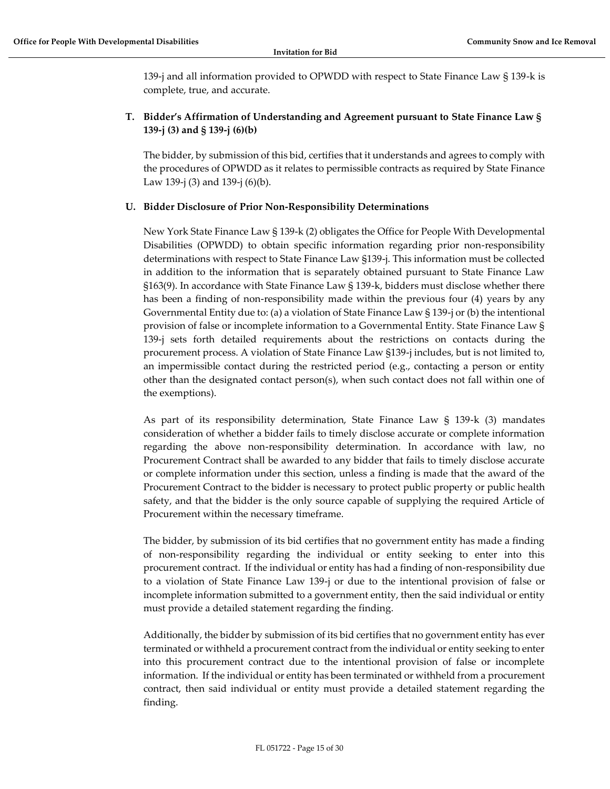139-j and all information provided to OPWDD with respect to State Finance Law § 139-k is complete, true, and accurate.

## <span id="page-14-0"></span>**T. Bidder's Affirmation of Understanding and Agreement pursuant to State Finance Law § 139-j (3) and § 139-j (6)(b)**

The bidder, by submission of this bid, certifies that it understands and agrees to comply with the procedures of OPWDD as it relates to permissible contracts as required by State Finance Law 139-j (3) and 139-j (6)(b).

## <span id="page-14-1"></span>**U. Bidder Disclosure of Prior Non-Responsibility Determinations**

New York State Finance Law § 139-k (2) obligates the Office for People With Developmental Disabilities (OPWDD) to obtain specific information regarding prior non-responsibility determinations with respect to State Finance Law §139-j. This information must be collected in addition to the information that is separately obtained pursuant to State Finance Law §163(9). In accordance with State Finance Law § 139-k, bidders must disclose whether there has been a finding of non-responsibility made within the previous four (4) years by any Governmental Entity due to: (a) a violation of State Finance Law § 139-j or (b) the intentional provision of false or incomplete information to a Governmental Entity. State Finance Law § 139-j sets forth detailed requirements about the restrictions on contacts during the procurement process. A violation of State Finance Law §139-j includes, but is not limited to, an impermissible contact during the restricted period (e.g., contacting a person or entity other than the designated contact person(s), when such contact does not fall within one of the exemptions).

As part of its responsibility determination, State Finance Law § 139-k (3) mandates consideration of whether a bidder fails to timely disclose accurate or complete information regarding the above non-responsibility determination. In accordance with law, no Procurement Contract shall be awarded to any bidder that fails to timely disclose accurate or complete information under this section, unless a finding is made that the award of the Procurement Contract to the bidder is necessary to protect public property or public health safety, and that the bidder is the only source capable of supplying the required Article of Procurement within the necessary timeframe.

The bidder, by submission of its bid certifies that no government entity has made a finding of non-responsibility regarding the individual or entity seeking to enter into this procurement contract. If the individual or entity has had a finding of non-responsibility due to a violation of State Finance Law 139-j or due to the intentional provision of false or incomplete information submitted to a government entity, then the said individual or entity must provide a detailed statement regarding the finding.

Additionally, the bidder by submission of its bid certifies that no government entity has ever terminated or withheld a procurement contract from the individual or entity seeking to enter into this procurement contract due to the intentional provision of false or incomplete information. If the individual or entity has been terminated or withheld from a procurement contract, then said individual or entity must provide a detailed statement regarding the finding.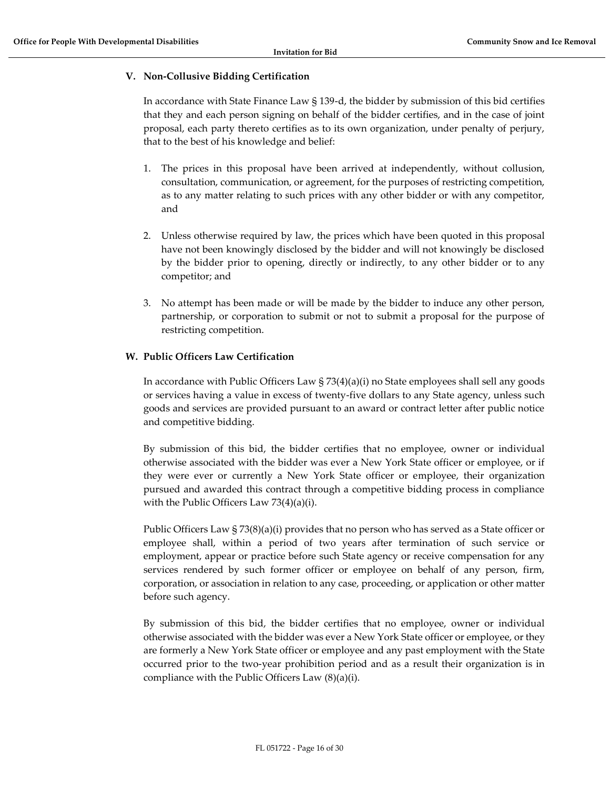#### <span id="page-15-0"></span>**V. Non‐Collusive Bidding Certification**

In accordance with State Finance Law § 139‐d, the bidder by submission of this bid certifies that they and each person signing on behalf of the bidder certifies, and in the case of joint proposal, each party thereto certifies as to its own organization, under penalty of perjury, that to the best of his knowledge and belief:

- 1. The prices in this proposal have been arrived at independently, without collusion, consultation, communication, or agreement, for the purposes of restricting competition, as to any matter relating to such prices with any other bidder or with any competitor, and
- 2. Unless otherwise required by law, the prices which have been quoted in this proposal have not been knowingly disclosed by the bidder and will not knowingly be disclosed by the bidder prior to opening, directly or indirectly, to any other bidder or to any competitor; and
- 3. No attempt has been made or will be made by the bidder to induce any other person, partnership, or corporation to submit or not to submit a proposal for the purpose of restricting competition.

## <span id="page-15-1"></span>**W. Public Officers Law Certification**

In accordance with Public Officers Law  $\S$  73(4)(a)(i) no State employees shall sell any goods or services having a value in excess of twenty-five dollars to any State agency, unless such goods and services are provided pursuant to an award or contract letter after public notice and competitive bidding.

By submission of this bid, the bidder certifies that no employee, owner or individual otherwise associated with the bidder was ever a New York State officer or employee, or if they were ever or currently a New York State officer or employee, their organization pursued and awarded this contract through a competitive bidding process in compliance with the Public Officers Law 73(4)(a)(i).

Public Officers Law § 73(8)(a)(i) provides that no person who has served as a State officer or employee shall, within a period of two years after termination of such service or employment, appear or practice before such State agency or receive compensation for any services rendered by such former officer or employee on behalf of any person, firm, corporation, or association in relation to any case, proceeding, or application or other matter before such agency.

By submission of this bid, the bidder certifies that no employee, owner or individual otherwise associated with the bidder was ever a New York State officer or employee, or they are formerly a New York State officer or employee and any past employment with the State occurred prior to the two-year prohibition period and as a result their organization is in compliance with the Public Officers Law (8)(a)(i).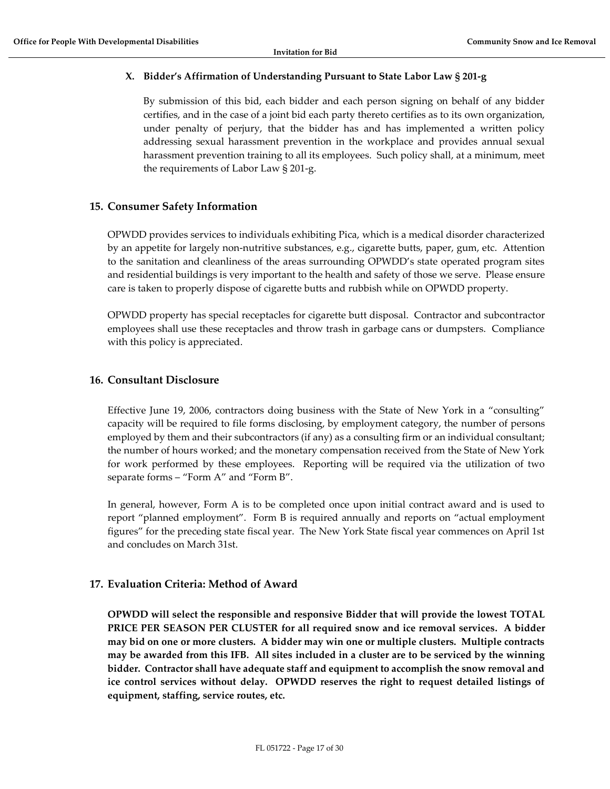## <span id="page-16-0"></span>**X. Bidder's Affirmation of Understanding Pursuant to State Labor Law § 201-g**

By submission of this bid, each bidder and each person signing on behalf of any bidder certifies, and in the case of a joint bid each party thereto certifies as to its own organization, under penalty of perjury, that the bidder has and has implemented a written policy addressing sexual harassment prevention in the workplace and provides annual sexual harassment prevention training to all its employees. Such policy shall, at a minimum, meet the requirements of Labor Law § 201-g.

## <span id="page-16-1"></span>**15. Consumer Safety Information**

OPWDD provides services to individuals exhibiting Pica, which is a medical disorder characterized by an appetite for largely non-nutritive substances, e.g., cigarette butts, paper, gum, etc. Attention to the sanitation and cleanliness of the areas surrounding OPWDD's state operated program sites and residential buildings is very important to the health and safety of those we serve. Please ensure care is taken to properly dispose of cigarette butts and rubbish while on OPWDD property.

OPWDD property has special receptacles for cigarette butt disposal. Contractor and subcontractor employees shall use these receptacles and throw trash in garbage cans or dumpsters. Compliance with this policy is appreciated.

## <span id="page-16-2"></span>**16. Consultant Disclosure**

Effective June 19, 2006, contractors doing business with the State of New York in a "consulting" capacity will be required to file forms disclosing, by employment category, the number of persons employed by them and their subcontractors (if any) as a consulting firm or an individual consultant; the number of hours worked; and the monetary compensation received from the State of New York for work performed by these employees. Reporting will be required via the utilization of two separate forms – "Form A" and "Form B".

In general, however, Form A is to be completed once upon initial contract award and is used to report "planned employment". Form B is required annually and reports on "actual employment figures" for the preceding state fiscal year. The New York State fiscal year commences on April 1st and concludes on March 31st.

## <span id="page-16-3"></span>**17. Evaluation Criteria: Method of Award**

**OPWDD will select the responsible and responsive Bidder that will provide the lowest TOTAL PRICE PER SEASON PER CLUSTER for all required snow and ice removal services. A bidder may bid on one or more clusters. A bidder may win one or multiple clusters. Multiple contracts may be awarded from this IFB. All sites included in a cluster are to be serviced by the winning bidder. Contractor shall have adequate staff and equipment to accomplish the snow removal and ice control services without delay. OPWDD reserves the right to request detailed listings of equipment, staffing, service routes, etc.**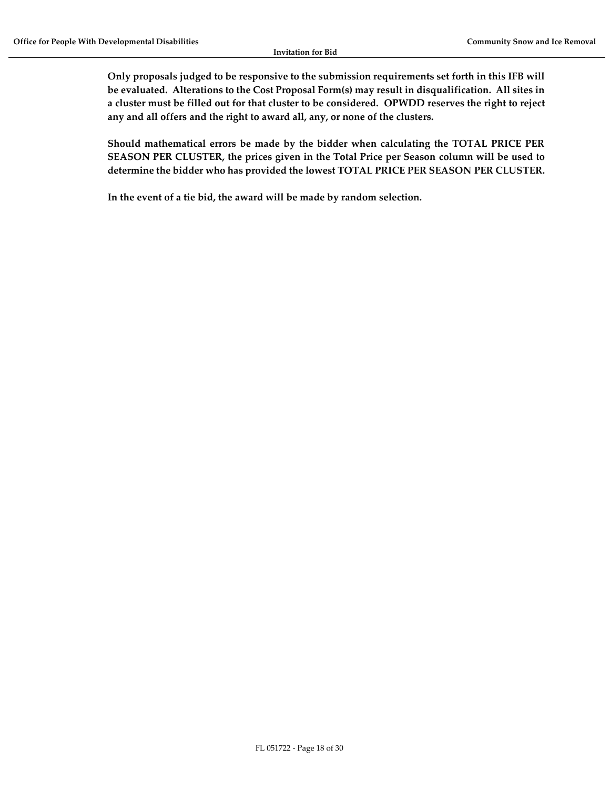**Only proposals judged to be responsive to the submission requirements set forth in this IFB will be evaluated. Alterations to the Cost Proposal Form(s) may result in disqualification. All sites in a cluster must be filled out for that cluster to be considered. OPWDD reserves the right to reject any and all offers and the right to award all, any, or none of the clusters.**

**Should mathematical errors be made by the bidder when calculating the TOTAL PRICE PER SEASON PER CLUSTER, the prices given in the Total Price per Season column will be used to determine the bidder who has provided the lowest TOTAL PRICE PER SEASON PER CLUSTER.**

**In the event of a tie bid, the award will be made by random selection.**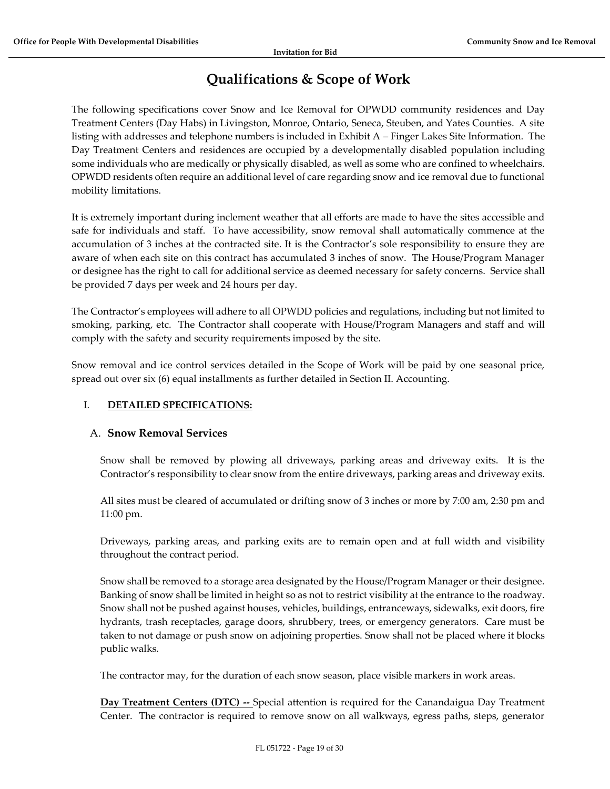## **Qualifications & Scope of Work**

<span id="page-18-0"></span>The following specifications cover Snow and Ice Removal for OPWDD community residences and Day Treatment Centers (Day Habs) in Livingston, Monroe, Ontario, Seneca, Steuben, and Yates Counties. A site listing with addresses and telephone numbers is included in Exhibit A – Finger Lakes Site Information. The Day Treatment Centers and residences are occupied by a developmentally disabled population including some individuals who are medically or physically disabled, as well as some who are confined to wheelchairs. OPWDD residents often require an additional level of care regarding snow and ice removal due to functional mobility limitations.

It is extremely important during inclement weather that all efforts are made to have the sites accessible and safe for individuals and staff. To have accessibility, snow removal shall automatically commence at the accumulation of 3 inches at the contracted site. It is the Contractor's sole responsibility to ensure they are aware of when each site on this contract has accumulated 3 inches of snow. The House/Program Manager or designee has the right to call for additional service as deemed necessary for safety concerns. Service shall be provided 7 days per week and 24 hours per day.

The Contractor's employees will adhere to all OPWDD policies and regulations, including but not limited to smoking, parking, etc. The Contractor shall cooperate with House/Program Managers and staff and will comply with the safety and security requirements imposed by the site.

Snow removal and ice control services detailed in the Scope of Work will be paid by one seasonal price, spread out over six (6) equal installments as further detailed in Section II. Accounting.

## I. **DETAILED SPECIFICATIONS:**

## A. **Snow Removal Services**

Snow shall be removed by plowing all driveways, parking areas and driveway exits. It is the Contractor's responsibility to clear snow from the entire driveways, parking areas and driveway exits.

All sites must be cleared of accumulated or drifting snow of 3 inches or more by 7:00 am, 2:30 pm and 11:00 pm.

Driveways, parking areas, and parking exits are to remain open and at full width and visibility throughout the contract period.

Snow shall be removed to a storage area designated by the House/Program Manager or their designee. Banking of snow shall be limited in height so as not to restrict visibility at the entrance to the roadway. Snow shall not be pushed against houses, vehicles, buildings, entranceways, sidewalks, exit doors, fire hydrants, trash receptacles, garage doors, shrubbery, trees, or emergency generators. Care must be taken to not damage or push snow on adjoining properties. Snow shall not be placed where it blocks public walks.

The contractor may, for the duration of each snow season, place visible markers in work areas.

**Day Treatment Centers (DTC) --** Special attention is required for the Canandaigua Day Treatment Center. The contractor is required to remove snow on all walkways, egress paths, steps, generator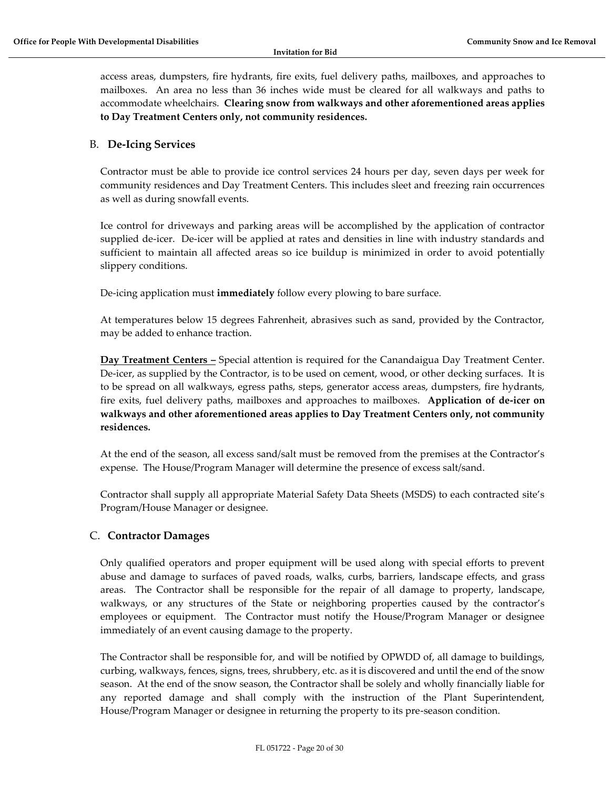access areas, dumpsters, fire hydrants, fire exits, fuel delivery paths, mailboxes, and approaches to mailboxes. An area no less than 36 inches wide must be cleared for all walkways and paths to accommodate wheelchairs. **Clearing snow from walkways and other aforementioned areas applies to Day Treatment Centers only, not community residences.** 

## B. **De-Icing Services**

Contractor must be able to provide ice control services 24 hours per day, seven days per week for community residences and Day Treatment Centers. This includes sleet and freezing rain occurrences as well as during snowfall events.

Ice control for driveways and parking areas will be accomplished by the application of contractor supplied de-icer. De-icer will be applied at rates and densities in line with industry standards and sufficient to maintain all affected areas so ice buildup is minimized in order to avoid potentially slippery conditions.

De-icing application must **immediately** follow every plowing to bare surface.

At temperatures below 15 degrees Fahrenheit, abrasives such as sand, provided by the Contractor, may be added to enhance traction.

**Day Treatment Centers –** Special attention is required for the Canandaigua Day Treatment Center. De-icer, as supplied by the Contractor, is to be used on cement, wood, or other decking surfaces. It is to be spread on all walkways, egress paths, steps, generator access areas, dumpsters, fire hydrants, fire exits, fuel delivery paths, mailboxes and approaches to mailboxes. **Application of de-icer on walkways and other aforementioned areas applies to Day Treatment Centers only, not community residences.**

At the end of the season, all excess sand/salt must be removed from the premises at the Contractor's expense. The House/Program Manager will determine the presence of excess salt/sand.

Contractor shall supply all appropriate Material Safety Data Sheets (MSDS) to each contracted site's Program/House Manager or designee.

## C. **Contractor Damages**

Only qualified operators and proper equipment will be used along with special efforts to prevent abuse and damage to surfaces of paved roads, walks, curbs, barriers, landscape effects, and grass areas. The Contractor shall be responsible for the repair of all damage to property, landscape, walkways, or any structures of the State or neighboring properties caused by the contractor's employees or equipment. The Contractor must notify the House/Program Manager or designee immediately of an event causing damage to the property.

The Contractor shall be responsible for, and will be notified by OPWDD of, all damage to buildings, curbing, walkways, fences, signs, trees, shrubbery, etc. as it is discovered and until the end of the snow season. At the end of the snow season, the Contractor shall be solely and wholly financially liable for any reported damage and shall comply with the instruction of the Plant Superintendent, House/Program Manager or designee in returning the property to its pre-season condition.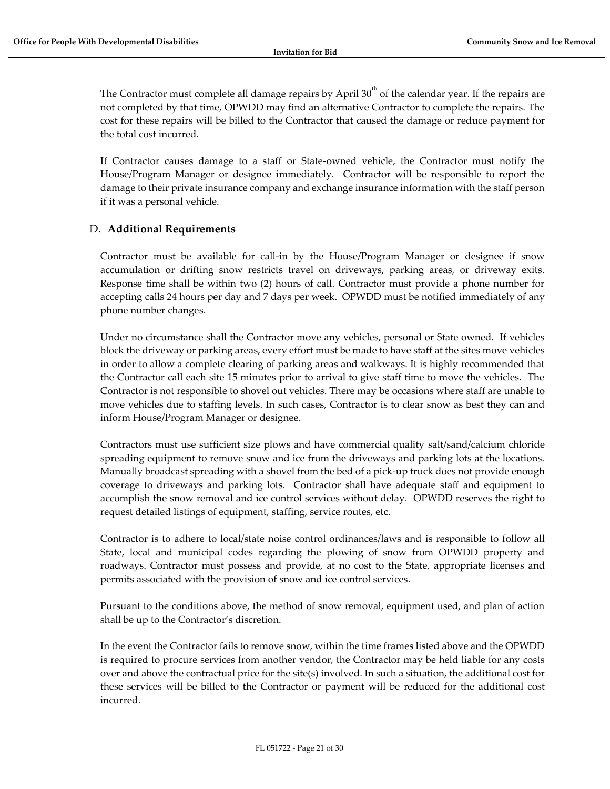The Contractor must complete all damage repairs by April  $30<sup>th</sup>$  of the calendar year. If the repairs are not completed by that time, OPWDD may find an alternative Contractor to complete the repairs. The cost for these repairs will be billed to the Contractor that caused the damage or reduce payment for the total cost incurred.

If Contractor causes damage to a staff or State-owned vehicle, the Contractor must notify the House/Program Manager or designee immediately. Contractor will be responsible to report the damage to their private insurance company and exchange insurance information with the staff person if it was a personal vehicle.

## D. **Additional Requirements**

Contractor must be available for call-in by the House/Program Manager or designee if snow accumulation or drifting snow restricts travel on driveways, parking areas, or driveway exits. Response time shall be within two (2) hours of call. Contractor must provide a phone number for accepting calls 24 hours per day and 7 days per week. OPWDD must be notified immediately of any phone number changes.

Under no circumstance shall the Contractor move any vehicles, personal or State owned. If vehicles block the driveway or parking areas, every effort must be made to have staff at the sites move vehicles in order to allow a complete clearing of parking areas and walkways. It is highly recommended that the Contractor call each site 15 minutes prior to arrival to give staff time to move the vehicles. The Contractor is not responsible to shovel out vehicles. There may be occasions where staff are unable to move vehicles due to staffing levels. In such cases, Contractor is to clear snow as best they can and inform House/Program Manager or designee.

Contractors must use sufficient size plows and have commercial quality salt/sand/calcium chloride spreading equipment to remove snow and ice from the driveways and parking lots at the locations. Manually broadcast spreading with a shovel from the bed of a pick-up truck does not provide enough coverage to driveways and parking lots. Contractor shall have adequate staff and equipment to accomplish the snow removal and ice control services without delay. OPWDD reserves the right to request detailed listings of equipment, staffing, service routes, etc.

Contractor is to adhere to local/state noise control ordinances/laws and is responsible to follow all State, local and municipal codes regarding the plowing of snow from OPWDD property and roadways. Contractor must possess and provide, at no cost to the State, appropriate licenses and permits associated with the provision of snow and ice control services.

Pursuant to the conditions above, the method of snow removal, equipment used, and plan of action shall be up to the Contractor's discretion.

In the event the Contractor fails to remove snow, within the time frames listed above and the OPWDD is required to procure services from another vendor, the Contractor may be held liable for any costs over and above the contractual price for the site(s) involved. In such a situation, the additional cost for these services will be billed to the Contractor or payment will be reduced for the additional cost incurred.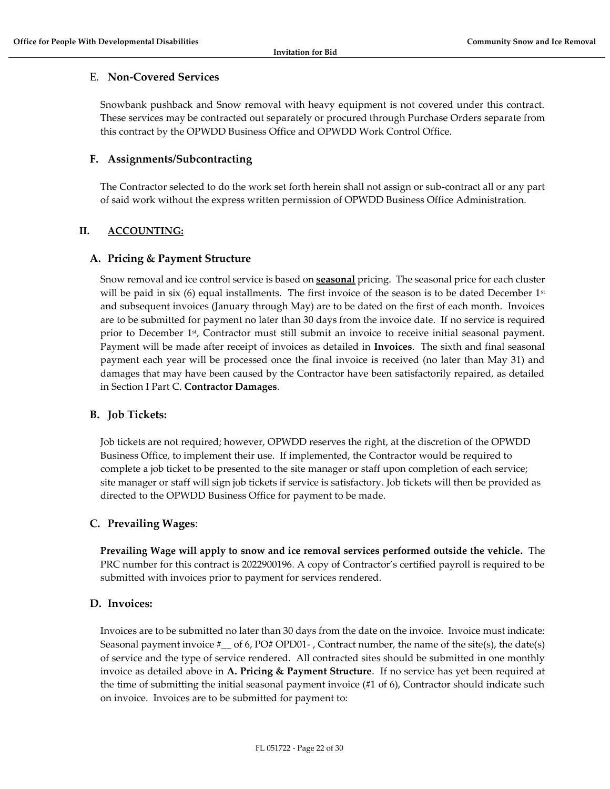## E. **Non-Covered Services**

Snowbank pushback and Snow removal with heavy equipment is not covered under this contract. These services may be contracted out separately or procured through Purchase Orders separate from this contract by the OPWDD Business Office and OPWDD Work Control Office.

## **F. Assignments/Subcontracting**

The Contractor selected to do the work set forth herein shall not assign or sub-contract all or any part of said work without the express written permission of OPWDD Business Office Administration.

## **II. ACCOUNTING:**

## **A. Pricing & Payment Structure**

Snow removal and ice control service is based on **seasonal** pricing. The seasonal price for each cluster will be paid in six (6) equal installments. The first invoice of the season is to be dated December  $1<sup>st</sup>$ and subsequent invoices (January through May) are to be dated on the first of each month. Invoices are to be submitted for payment no later than 30 days from the invoice date. If no service is required prior to December 1<sup>st</sup>, Contractor must still submit an invoice to receive initial seasonal payment. Payment will be made after receipt of invoices as detailed in **Invoices**. The sixth and final seasonal payment each year will be processed once the final invoice is received (no later than May 31) and damages that may have been caused by the Contractor have been satisfactorily repaired, as detailed in Section I Part C. **Contractor Damages**.

## **B. Job Tickets:**

Job tickets are not required; however, OPWDD reserves the right, at the discretion of the OPWDD Business Office, to implement their use. If implemented, the Contractor would be required to complete a job ticket to be presented to the site manager or staff upon completion of each service; site manager or staff will sign job tickets if service is satisfactory. Job tickets will then be provided as directed to the OPWDD Business Office for payment to be made.

## **C. Prevailing Wages**:

**Prevailing Wage will apply to snow and ice removal services performed outside the vehicle.** The PRC number for this contract is 2022900196. A copy of Contractor's certified payroll is required to be submitted with invoices prior to payment for services rendered.

## **D. Invoices:**

Invoices are to be submitted no later than 30 days from the date on the invoice. Invoice must indicate: Seasonal payment invoice  $\#$  of 6, PO $\#$  OPD01-, Contract number, the name of the site(s), the date(s) of service and the type of service rendered. All contracted sites should be submitted in one monthly invoice as detailed above in **A. Pricing & Payment Structure**. If no service has yet been required at the time of submitting the initial seasonal payment invoice (#1 of 6), Contractor should indicate such on invoice. Invoices are to be submitted for payment to: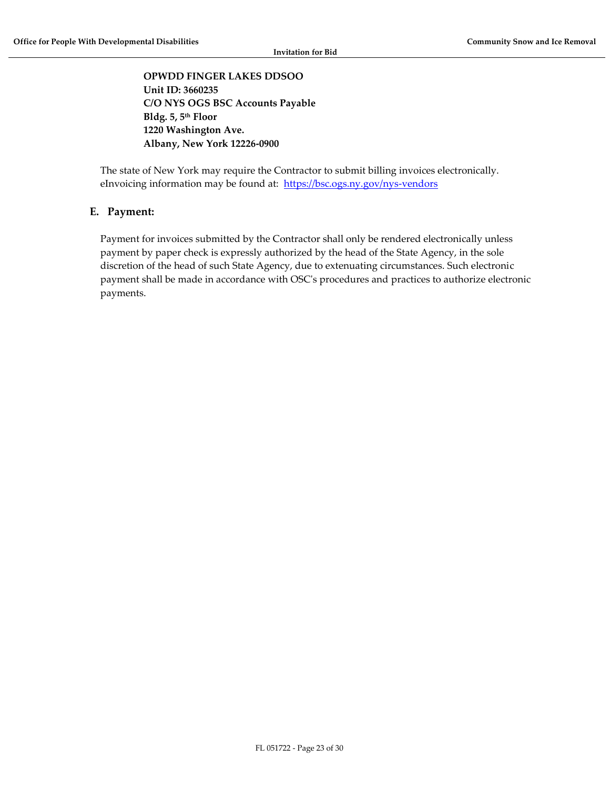**OPWDD FINGER LAKES DDSOO Unit ID: 3660235 C/O NYS OGS BSC Accounts Payable Bldg. 5, 5th Floor 1220 Washington Ave. Albany, New York 12226-0900**

The state of New York may require the Contractor to submit billing invoices electronically. eInvoicing information may be found at: <https://bsc.ogs.ny.gov/nys-vendors>

## **E. Payment:**

Payment for invoices submitted by the Contractor shall only be rendered electronically unless payment by paper check is expressly authorized by the head of the State Agency, in the sole discretion of the head of such State Agency, due to extenuating circumstances. Such electronic payment shall be made in accordance with OSC's procedures and practices to authorize electronic payments.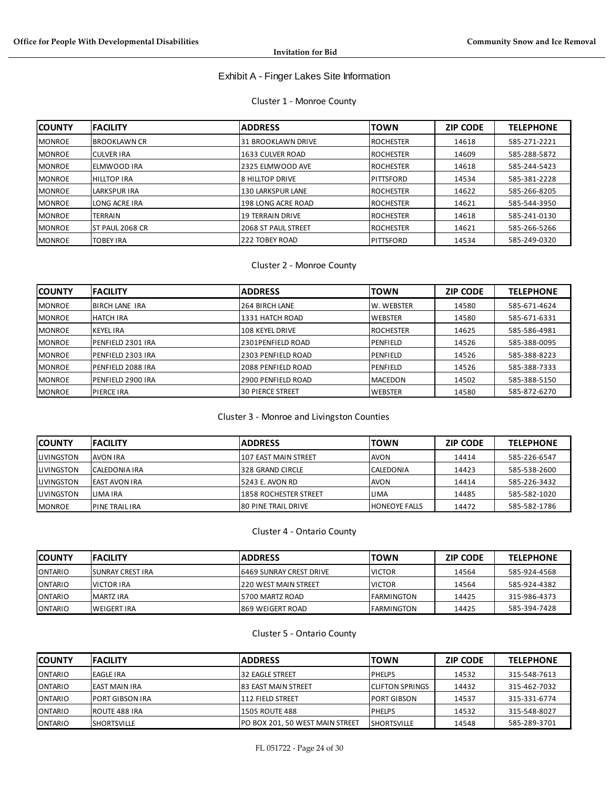## Exhibit A - Finger Lakes Site Information

Cluster 1 - Monroe County

| <b>COUNTY</b> | <b>FACILITY</b>         | <b>ADDRESS</b>             | <b>TOWN</b>       | <b>ZIP CODE</b> | <b>TELEPHONE</b> |
|---------------|-------------------------|----------------------------|-------------------|-----------------|------------------|
| <b>MONROE</b> | <b>BROOKLAWN CR</b>     | 131 BROOKLAWN DRIVE        | <b>IROCHESTER</b> | 14618           | 585-271-2221     |
| <b>MONROE</b> | <b>CULVER IRA</b>       | 1633 CULVER ROAD           | <b>IROCHESTER</b> | 14609           | 585-288-5872     |
| <b>MONROE</b> | ELMWOOD IRA             | 2325 ELMWOOD AVE           | <b>IROCHESTER</b> | 14618           | 585-244-5423     |
| <b>MONROE</b> | <b>HILLTOP IRA</b>      | I8 HILLTOP DRIVE           | IPITTSFORD        | 14534           | 585-381-2228     |
| <b>MONROE</b> | LARKSPUR IRA            | <b>130 LARKSPUR LANE</b>   | <b>IROCHESTER</b> | 14622           | 585-266-8205     |
| <b>MONROE</b> | LONG ACRE IRA           | <b>198 LONG ACRE ROAD</b>  | <b>IROCHESTER</b> | 14621           | 585-544-3950     |
| <b>MONROE</b> | <b>TERRAIN</b>          | <b>19 TERRAIN DRIVE</b>    | <b>IROCHESTER</b> | 14618           | 585-241-0130     |
| <b>MONROE</b> | <b>IST PAUL 2068 CR</b> | <b>2068 ST PAUL STREET</b> | <b>IROCHESTER</b> | 14621           | 585-266-5266     |
| <b>MONROE</b> | <b>TOBEY IRA</b>        | 222 TOBEY ROAD             | IPITTSFORD        | 14534           | 585-249-0320     |

#### Cluster 2 - Monroe County

| <b>COUNTY</b> | <b>IFACILITY</b>      | <b>ADDRESS</b>          | <b>TOWN</b>       | <b>ZIP CODE</b> | <b>TELEPHONE</b> |
|---------------|-----------------------|-------------------------|-------------------|-----------------|------------------|
| <b>MONROE</b> | <b>BIRCH LANE IRA</b> | 264 BIRCH LANE          | <b>W. WEBSTER</b> | 14580           | 585-671-4624     |
| <b>MONROE</b> | <b>HATCH IRA</b>      | 1331 HATCH ROAD         | <b>IWEBSTER</b>   | 14580           | 585-671-6331     |
| <b>MONROE</b> | <b>KEYEL IRA</b>      | 108 KEYEL DRIVE         | <b>IROCHESTER</b> | 14625           | 585-586-4981     |
| <b>MONROE</b> | IPENFIELD 2301 IRA    | 2301PENFIELD ROAD       | PENFIELD          | 14526           | 585-388-0095     |
| <b>MONROE</b> | IPENFIELD 2303 IRA    | 2303 PENFIELD ROAD      | PENFIELD          | 14526           | 585-388-8223     |
| <b>MONROE</b> | PENFIELD 2088 IRA     | 2088 PENFIELD ROAD      | PENFIELD          | 14526           | 585-388-7333     |
| <b>MONROE</b> | IPENFIELD 2900 IRA    | 2900 PENFIELD ROAD      | <b>MACEDON</b>    | 14502           | 585-388-5150     |
| <b>MONROE</b> | <b>PIERCE IRA</b>     | <b>30 PIERCE STREET</b> | <b>IWEBSTER</b>   | 14580           | 585-872-6270     |

## Cluster 3 - Monroe and Livingston Counties

| <b>ICOUNTY</b>     | <b>FACILITY</b>       | <b>IADDRESS</b>             | <b>TOWN</b>          | <b>ZIP CODE</b> | <b>TELEPHONE</b> |
|--------------------|-----------------------|-----------------------------|----------------------|-----------------|------------------|
| <b>ILIVINGSTON</b> | <b>AVON IRA</b>       | l107 EAST MAIN STREET       | <b>AVON</b>          | 14414           | 585-226-6547     |
| <b>ILIVINGSTON</b> | <b>CALEDONIA IRA</b>  | <b>1328 GRAND CIRCLE</b>    | <b>CALEDONIA</b>     | 14423           | 585-538-2600     |
| <b>ILIVINGSTON</b> | <b>EAST AVON IRA</b>  | 15243 E. AVON RD            | <b>AVON</b>          | 14414           | 585-226-3432     |
| <b>LIVINGSTON</b>  | LIMA IRA              | 1858 ROCHESTER STREET       | <b>LIMA</b>          | 14485           | 585-582-1020     |
| <b>MONROE</b>      | <b>PINE TRAIL IRA</b> | <b>180 PINE TRAIL DRIVE</b> | <b>HONEOYE FALLS</b> | 14472           | 585-582-1786     |

## Cluster 4 - Ontario County

| <b>ICOUNTY</b> | <b>FACILITY</b>          | <b>IADDRESS</b>          | <b>TOWN</b>        | <b>ZIP CODE</b> | <b>TELEPHONE</b> |
|----------------|--------------------------|--------------------------|--------------------|-----------------|------------------|
| <b>ONTARIO</b> | <b>ISUNRAY CREST IRA</b> | 16469 SUNRAY CREST DRIVE | <b>IVICTOR</b>     | 14564           | 585-924-4568     |
| <b>ONTARIO</b> | <b>VICTOR IRA</b>        | 1220 WEST MAIN STREET    | <b>VICTOR</b>      | 14564           | 585-924-4382     |
| <b>ONTARIO</b> | <b>MARTZ IRA</b>         | 15700 MARTZ ROAD         | <b>IFARMINGTON</b> | 14425           | 315-986-4373     |
| <b>ONTARIO</b> | <b>WEIGERT IRA</b>       | 1869 WEIGERT ROAD        | <b>IFARMINGTON</b> | 14425           | 585-394-7428     |

## Cluster 5 - Ontario County

| <b>COUNTY</b>  | <b>IFACILITY</b>       | <b>IADDRESS</b>                 | <b>ITOWN</b>            | <b>ZIP CODE</b> | <b>TELEPHONE</b> |
|----------------|------------------------|---------------------------------|-------------------------|-----------------|------------------|
| <b>ONTARIO</b> | <b>EAGLE IRA</b>       | <b>32 EAGLE STREET</b>          | <b>IPHELPS</b>          | 14532           | 315-548-7613     |
| <b>ONTARIO</b> | <b>EAST MAIN IRA</b>   | <b>83 EAST MAIN STREET</b>      | <b>ICLIFTON SPRINGS</b> | 14432           | 315-462-7032     |
| <b>ONTARIO</b> | <b>PORT GIBSON IRA</b> | l112 FIELD STREET               | <b>IPORT GIBSON</b>     | 14537           | 315-331-6774     |
| <b>ONTARIO</b> | ROUTE 488 IRA          | <b>1505 ROUTE 488</b>           | <b>IPHELPS</b>          | 14532           | 315-548-8027     |
| <b>ONTARIO</b> | <b>SHORTSVILLE</b>     | PO BOX 201, 50 WEST MAIN STREET | <b>ISHORTSVILLE</b>     | 14548           | 585-289-3701     |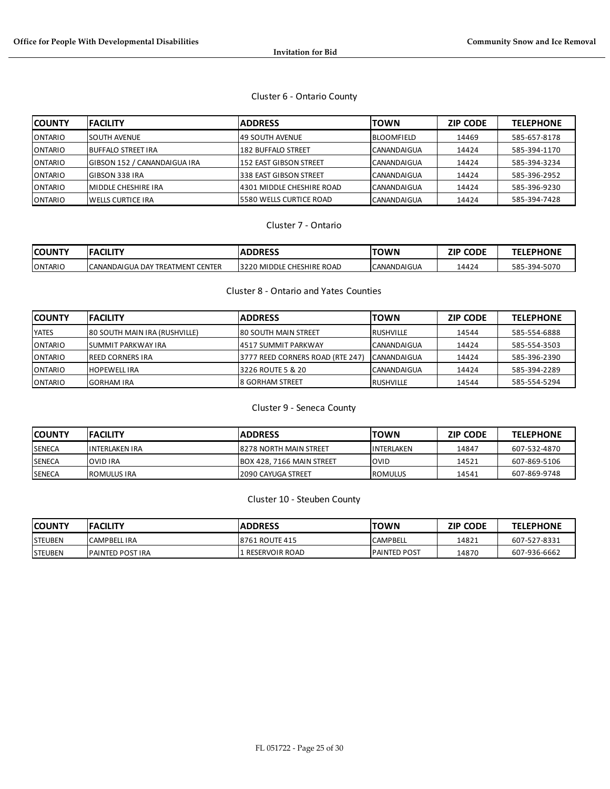## Cluster 6 - Ontario County

| <b>ICOUNTY</b> | <b>IFACILITY</b>                     | <b>ADDRESS</b>             | <b>TOWN</b>        | <b>ZIP CODE</b> | <b>TELEPHONE</b> |
|----------------|--------------------------------------|----------------------------|--------------------|-----------------|------------------|
| <b>ONTARIO</b> | lsouth Avenue                        | 149 SOUTH AVENUE           | <b>BLOOMFIELD</b>  | 14469           | 585-657-8178     |
| <b>ONTARIO</b> | IBUFFALO STREET IRA                  | 182 BUFFALO STREET         | <b>CANANDAIGUA</b> | 14424           | 585-394-1170     |
| <b>ONTARIO</b> | <b>IGIBSON 152 / CANANDAIGUA IRA</b> | 152 EAST GIBSON STREET     | <b>CANANDAIGUA</b> | 14424           | 585-394-3234     |
| <b>ONTARIO</b> | IGIBSON 338 IRA                      | 338 EAST GIBSON STREET     | <b>CANANDAIGUA</b> | 14424           | 585-396-2952     |
| <b>ONTARIO</b> | IMIDDLE CHESHIRE IRA                 | 14301 MIDDLE CHESHIRE ROAD | ICANANDAIGUA       | 14424           | 585-396-9230     |
| <b>ONTARIO</b> | IWELLS CURTICE IRA                   | 5580 WELLS CURTICE ROAD    | <b>CANANDAIGUA</b> | 14424           | 585-394-7428     |

## Cluster 7 - Ontario

| <b>COUNTY</b>  | <b>IFACILITY</b>                            | <b>ADDRESS</b>                      | TOWN               | <b>CODE</b><br>ZIP | <b>ELEPHONE</b><br>TCI |
|----------------|---------------------------------------------|-------------------------------------|--------------------|--------------------|------------------------|
| <b>ONTARIO</b> | <b>TREATMENT CENTER</b><br>lCANANDAIGUA DAY | <b>CHESHIRE ROAD</b><br>3220 MIDDLE | <b>CANANDAIGUA</b> | 14424              | -394-5070<br>585       |

## Cluster 8 - Ontario and Yates Counties

| <b>COUNTY</b>  | <b>IFACILITY</b>              | <b>IADDRESS</b>                   | <b>TOWN</b>         | <b>ZIP CODE</b> | <b>TELEPHONE</b> |
|----------------|-------------------------------|-----------------------------------|---------------------|-----------------|------------------|
| <b>IYATES</b>  | 80 SOUTH MAIN IRA (RUSHVILLE) | <b>180 SOUTH MAIN STREET</b>      | <b>IRUSHVILLE</b>   | 14544           | 585-554-6888     |
| <b>ONTARIO</b> | ISUMMIT PARKWAY IRA           | 14517 SUMMIT PARKWAY              | <b>ICANANDAIGUA</b> | 14424           | 585-554-3503     |
| <b>ONTARIO</b> | <b>IREED CORNERS IRA</b>      | 13777 REED CORNERS ROAD (RTE 247) | <b>ICANANDAIGUA</b> | 14424           | 585-396-2390     |
| <b>ONTARIO</b> | <b>HOPEWELL IRA</b>           | 3226 ROUTE 5 & 20                 | <b>ICANANDAIGUA</b> | 14424           | 585-394-2289     |
| <b>ONTARIO</b> | IGORHAM IRA                   | <b>I8 GORHAM STREET</b>           | <b>IRUSHVILLE</b>   | 14544           | 585-554-5294     |

## Cluster 9 - Seneca County

| <b>COUNTY</b> | <b>IFACILITY</b>       | <b>IADDRESS</b>            | TOWN               | <b>ZIP CODE</b> | <b>TELEPHONE</b> |
|---------------|------------------------|----------------------------|--------------------|-----------------|------------------|
| <b>SENECA</b> | <b>IINTERLAKEN IRA</b> | 18278 NORTH MAIN STREET    | <b>IINTERLAKEN</b> | 14847           | 607-532-4870     |
| <b>SENECA</b> | <b>OVID IRA</b>        | IBOX 428, 7166 MAIN STREET | <b>OVID</b>        | 14521           | 607-869-5106     |
| <b>SENECA</b> | <b>ROMULUS IRA</b>     | l2090 CAYUGA STREET        | <b>I</b> ROMULUS   | 14541           | 607-869-9748     |

## Cluster 10 - Steuben County

| <b>COUNTY</b>   | <b>IFACILITY</b>        | <b>ADDRESS</b>        | TOWN            | <b>ZIP CODE</b> | <b>TELEPHONE</b> |
|-----------------|-------------------------|-----------------------|-----------------|-----------------|------------------|
| <b>STEUBEN</b>  | <b>CAMPBELL IRA</b>     | <b>8761 ROUTE 415</b> | <b>CAMPBELL</b> | 14821           | 607-527-8331     |
| <b>ISTEUBEN</b> | <b>PAINTED POST IRA</b> | l RESERVOIR ROAD      | IPAINTED POST   | 14870           | 607-936-6662     |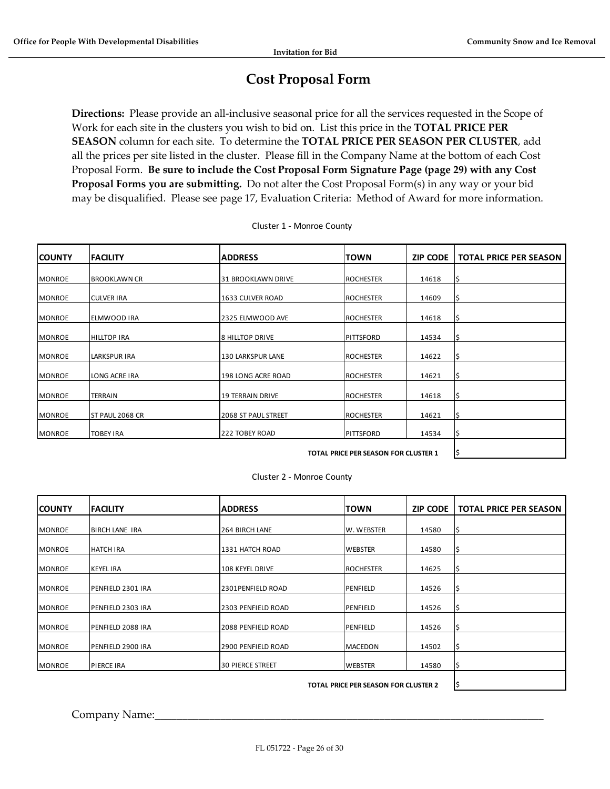## **Cost Proposal Form**

<span id="page-25-0"></span>**Directions:** Please provide an all-inclusive seasonal price for all the services requested in the Scope of Work for each site in the clusters you wish to bid on. List this price in the **TOTAL PRICE PER SEASON** column for each site. To determine the **TOTAL PRICE PER SEASON PER CLUSTER**, add all the prices per site listed in the cluster. Please fill in the Company Name at the bottom of each Cost Proposal Form. **Be sure to include the Cost Proposal Form Signature Page (page 29) with any Cost Proposal Forms you are submitting.** Do not alter the Cost Proposal Form(s) in any way or your bid may be disqualified. Please see page 17, Evaluation Criteria: Method of Award for more information.

| <b>COUNTY</b> | <b>IFACILITY</b>    | <b>IADDRESS</b>            | <b>TOWN</b>       | <b>ZIP CODE</b> | <b>TOTAL PRICE PER SEASON</b> |
|---------------|---------------------|----------------------------|-------------------|-----------------|-------------------------------|
| <b>MONROE</b> | <b>BROOKLAWN CR</b> | 131 BROOKLAWN DRIVE        | <b>ROCHESTER</b>  | 14618           | S                             |
| <b>MONROE</b> | <b>CULVER IRA</b>   | 1633 CULVER ROAD           | <b>ROCHESTER</b>  | 14609           | l\$                           |
|               |                     |                            |                   |                 |                               |
| <b>MONROE</b> | ELMWOOD IRA         | 2325 ELMWOOD AVE           | <b>IROCHESTER</b> | 14618           | l\$                           |
| <b>MONROE</b> | <b>HILLTOP IRA</b>  | <b>8 HILLTOP DRIVE</b>     | PITTSFORD         | 14534           | l\$                           |
| <b>MONROE</b> | <b>LARKSPUR IRA</b> | 130 LARKSPUR LANE          | <b>ROCHESTER</b>  | 14622           | l\$                           |
| <b>MONROE</b> | LONG ACRE IRA       | 198 LONG ACRE ROAD         | <b>ROCHESTER</b>  | 14621           | IS                            |
| <b>MONROE</b> | <b>TERRAIN</b>      | 19 TERRAIN DRIVE           | <b>ROCHESTER</b>  | 14618           | l\$                           |
| <b>MONROE</b> | ST PAUL 2068 CR     | <b>2068 ST PAUL STREET</b> | <b>ROCHESTER</b>  | 14621           | l\$                           |
| <b>MONROE</b> | <b>TOBEY IRA</b>    | 222 TOBEY ROAD             | PITTSFORD         | 14534           | \$                            |
|               | I\$                 |                            |                   |                 |                               |

Cluster 1 - Monroe County

Cluster 2 - Monroe County

| <b>ICOUNTY</b> | <b>IFACILITY</b>         | <b>ADDRESS</b>          | TOWN              | <b>ZIP CODE</b> | <b>TOTAL PRICE PER SEASON</b> |
|----------------|--------------------------|-------------------------|-------------------|-----------------|-------------------------------|
|                |                          |                         |                   |                 |                               |
| <b>MONROE</b>  | <b>BIRCH LANE IRA</b>    | 264 BIRCH LANE          | <b>W. WEBSTER</b> | 14580           | ¦\$                           |
| <b>MONROE</b>  | <b>HATCH IRA</b>         | 1331 HATCH ROAD         | <b>WEBSTER</b>    | 14580           | \$                            |
| <b>MONROE</b>  | <b>KEYEL IRA</b>         | <b>108 KEYEL DRIVE</b>  | <b>ROCHESTER</b>  | 14625           | \$,                           |
| <b>MONROE</b>  | <b>PENFIELD 2301 IRA</b> | 2301PENFIELD ROAD       | PENFIELD          | 14526           | l\$                           |
| <b>MONROE</b>  | <b>PENFIELD 2303 IRA</b> | 2303 PENFIELD ROAD      | PENFIELD          | 14526           | \$,                           |
| <b>MONROE</b>  | <b>PENFIELD 2088 IRA</b> | 2088 PENFIELD ROAD      | PENFIELD          | 14526           | \$                            |
| <b>MONROE</b>  | <b>PENFIELD 2900 IRA</b> | 2900 PENFIELD ROAD      | <b>MACEDON</b>    | 14502           | \$                            |
| <b>MONROE</b>  | <b>PIERCE IRA</b>        | <b>30 PIERCE STREET</b> | <b>WEBSTER</b>    | 14580           | IS                            |
|                |                          |                         |                   |                 |                               |

Company Name: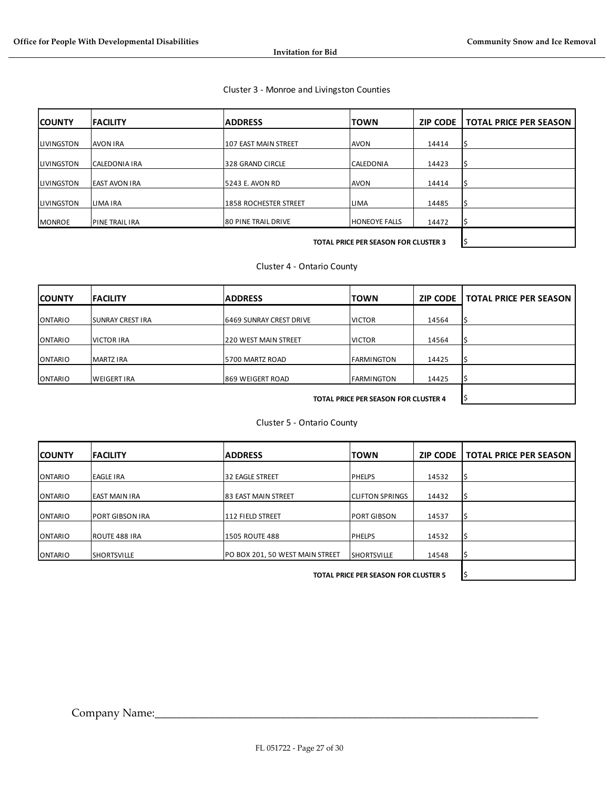#### Cluster 3 - Monroe and Livingston Counties

| <b>COUNTY</b>      | <b>FACILITY</b>       | <b>ADDRESS</b>               | <b>TOWN</b>          | <b>ZIP CODE</b> | <b>TOTAL PRICE PER SEASON</b> |
|--------------------|-----------------------|------------------------------|----------------------|-----------------|-------------------------------|
| <b>ILIVINGSTON</b> | <b>AVON IRA</b>       | 107 EAST MAIN STREET         | <b>AVON</b>          | 14414           |                               |
| <b>ILIVINGSTON</b> | CALEDONIA IRA         | 328 GRAND CIRCLE             | <b>CALEDONIA</b>     | 14423           |                               |
| <b>ILIVINGSTON</b> | <b>EAST AVON IRA</b>  | 5243 E. AVON RD              | <b>JAVON</b>         | 14414           | ١ś                            |
| <b>ILIVINGSTON</b> | LIMA IRA              | <b>1858 ROCHESTER STREET</b> | <b>LIMA</b>          | 14485           |                               |
| <b>MONROE</b>      | <b>PINE TRAIL IRA</b> | <b>80 PINE TRAIL DRIVE</b>   | <b>HONEOYE FALLS</b> | 14472           |                               |
|                    |                       |                              |                      |                 |                               |

Cluster 4 - Ontario County

| <b>ICOUNTY</b> | <b>FACILITY</b>          | <b>ADDRESS</b>                 | <b>TOWN</b>       | <b>ZIP CODE</b> | <b>TOTAL PRICE PER SEASON</b> |
|----------------|--------------------------|--------------------------------|-------------------|-----------------|-------------------------------|
| <b>ONTARIO</b> | <b>ISUNRAY CREST IRA</b> | <b>6469 SUNRAY CREST DRIVE</b> | <b>VICTOR</b>     | 14564           |                               |
| ONTARIO        | <b>VICTOR IRA</b>        | <b>220 WEST MAIN STREET</b>    | <b>VICTOR</b>     | 14564           |                               |
| <b>ONTARIO</b> | <b>MARTZ IRA</b>         | 5700 MARTZ ROAD                | <b>FARMINGTON</b> | 14425           |                               |
| <b>ONTARIO</b> | <b>WEIGERT IRA</b>       | 869 WEIGERT ROAD               | <b>FARMINGTON</b> | 14425           |                               |
|                |                          |                                |                   |                 |                               |

Cluster 5 - Ontario County

| <b>ICOUNTY</b> | <b>FACILITY</b>        | <b>ADDRESS</b>                  | <b>TOWN</b>             | <b>ZIP CODE</b> | <b>TOTAL PRICE PER SEASON</b> |
|----------------|------------------------|---------------------------------|-------------------------|-----------------|-------------------------------|
| <b>ONTARIO</b> | <b>EAGLE IRA</b>       | <b>32 EAGLE STREET</b>          | <b>IPHELPS</b>          | 14532           |                               |
| <b>ONTARIO</b> | <b>EAST MAIN IRA</b>   | <b>83 EAST MAIN STREET</b>      | <b>ICLIFTON SPRINGS</b> | 14432           |                               |
| <b>ONTARIO</b> | <b>PORT GIBSON IRA</b> | 112 FIELD STREET                | <b>PORT GIBSON</b>      | 14537           |                               |
| <b>ONTARIO</b> | ROUTE 488 IRA          | <b>1505 ROUTE 488</b>           | <b>IPHELPS</b>          | 14532           |                               |
| <b>ONTARIO</b> | <b>SHORTSVILLE</b>     | PO BOX 201, 50 WEST MAIN STREET | <b>SHORTSVILLE</b>      | 14548           |                               |
|                |                        |                                 |                         |                 |                               |

**TOTAL PRICE PER SEASON FOR CLUSTER 5 \$**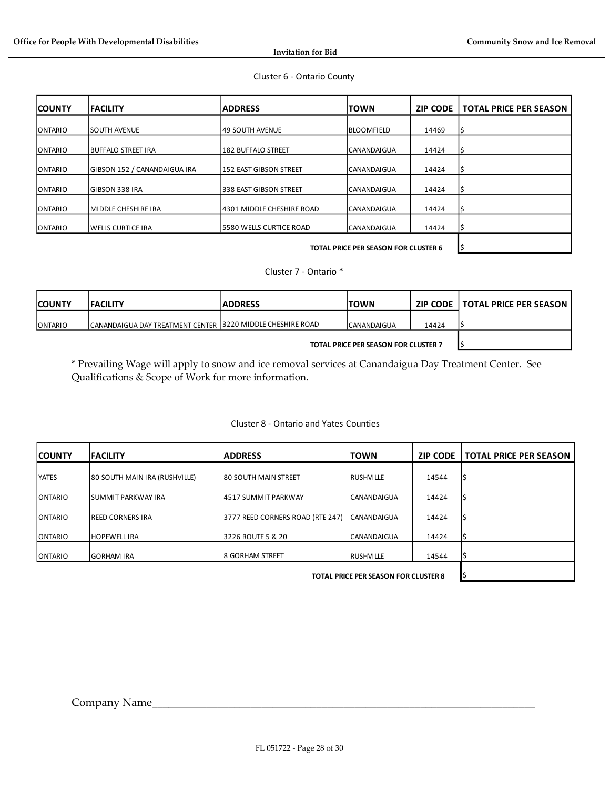#### Cluster 6 - Ontario County

| <b>COUNTY</b>  | <b>FACILITY</b>              | <b>ADDRESS</b>            | <b>TOWN</b>        | <b>ZIP CODE</b> | <b>TOTAL PRICE PER SEASON</b> |
|----------------|------------------------------|---------------------------|--------------------|-----------------|-------------------------------|
| <b>ONTARIO</b> | <b>SOUTH AVENUE</b>          | <b>49 SOUTH AVENUE</b>    | <b>BLOOMFIELD</b>  | 14469           |                               |
| <b>ONTARIO</b> | <b>BUFFALO STREET IRA</b>    | 182 BUFFALO STREET        | CANANDAIGUA        | 14424           |                               |
| <b>ONTARIO</b> | GIBSON 152 / CANANDAIGUA IRA | 152 EAST GIBSON STREET    | <b>CANANDAIGUA</b> | 14424           |                               |
| <b>ONTARIO</b> | <b>GIBSON 338 IRA</b>        | 338 EAST GIBSON STREET    | <b>CANANDAIGUA</b> | 14424           |                               |
| <b>ONTARIO</b> | MIDDLE CHESHIRE IRA          | 4301 MIDDLE CHESHIRE ROAD | <b>CANANDAIGUA</b> | 14424           |                               |
| ONTARIO        | <b>WELLS CURTICE IRA</b>     | 15580 WELLS CURTICE ROAD  | <b>CANANDAIGUA</b> | 14424           |                               |
|                |                              |                           |                    |                 |                               |

#### Cluster 7 - Ontario \*

| <b>COUNTY</b>  | <b>IFACILITY</b>                                            | <b>IADDRESS</b> | <b>TOWN</b>        |       | <b>ZIP CODE   TOTAL PRICE PER SEASON</b> |
|----------------|-------------------------------------------------------------|-----------------|--------------------|-------|------------------------------------------|
| <b>ONTARIO</b> | CANANDAIGUA DAY TREATMENT CENTER 13220 MIDDLE CHESHIRE ROAD |                 | <b>CANANDAIGUA</b> | 14424 |                                          |
|                |                                                             |                 |                    |       |                                          |

\* Prevailing Wage will apply to snow and ice removal services at Canandaigua Day Treatment Center. See Qualifications & Scope of Work for more information.

#### Cluster 8 - Ontario and Yates Counties

| <b>COUNTY</b>  | <b>FACILITY</b>               | <b>ADDRESS</b>                    | <b>TOWN</b>        | <b>ZIP CODE</b> | <b>TOTAL PRICE PER SEASON</b> |
|----------------|-------------------------------|-----------------------------------|--------------------|-----------------|-------------------------------|
| <b>YATES</b>   | 80 SOUTH MAIN IRA (RUSHVILLE) | <b>80 SOUTH MAIN STREET</b>       | <b>RUSHVILLE</b>   | 14544           |                               |
| ONTARIO        | SUMMIT PARKWAY IRA            | 4517 SUMMIT PARKWAY               | <b>CANANDAIGUA</b> | 14424           |                               |
| <b>ONTARIO</b> | <b>IREED CORNERS IRA</b>      | 13777 REED CORNERS ROAD (RTE 247) | <b>CANANDAIGUA</b> | 14424           |                               |
| ONTARIO        | <b>HOPEWELL IRA</b>           | 3226 ROUTE 5 & 20                 | <b>CANANDAIGUA</b> | 14424           |                               |
| <b>ONTARIO</b> | <b>GORHAM IRA</b>             | <b>8 GORHAM STREET</b>            | <b>RUSHVILLE</b>   | 14544           |                               |
|                |                               |                                   |                    |                 |                               |

**TOTAL PRICE PER SEASON FOR CLUSTER 8 \$**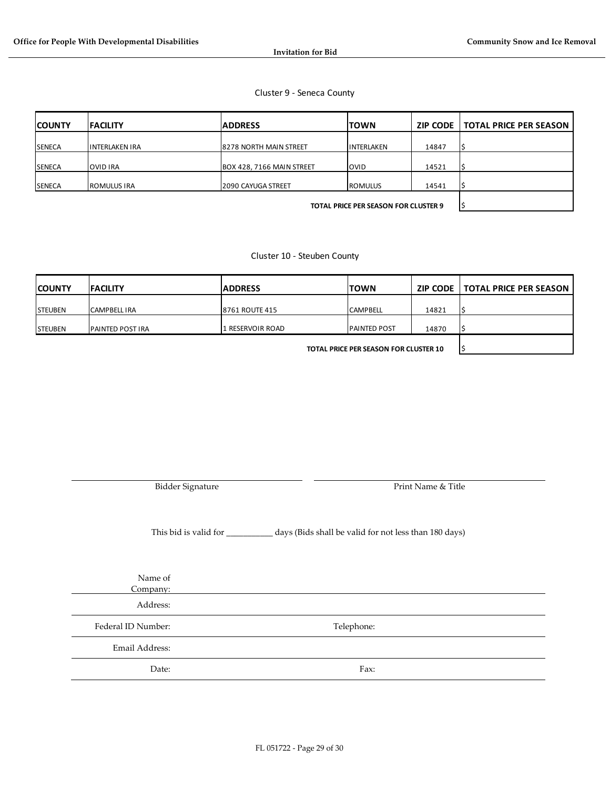#### Cluster 9 - Seneca County

| <b>COUNTY</b> | <b>IFACILITY</b>      | <b>ADDRESS</b>                | <b>TOWN</b>       | ZIP CODE | TOTAL PRICE PER SEASON |
|---------------|-----------------------|-------------------------------|-------------------|----------|------------------------|
| <b>SENECA</b> | <b>INTERLAKEN IRA</b> | <b>8278 NORTH MAIN STREET</b> | <b>INTERLAKEN</b> | 14847    |                        |
| <b>SENECA</b> | <b>OVID IRA</b>       | BOX 428, 7166 MAIN STREET     | <b>OVID</b>       | 14521    |                        |
| <b>SENECA</b> | ROMULUS IRA           | <b>2090 CAYUGA STREET</b>     | <b>ROMULUS</b>    | 14541    |                        |
|               |                       |                               |                   |          |                        |

**TOTAL PRICE PER SEASON FOR CLUSTER 9** 

Cluster 10 - Steuben County

| <b>COUNTY</b>   | <b>IFACILITY</b>        | <b>ADDRESS</b>        | <b>TOWN</b>          |       | <b>ZIP CODE   TOTAL PRICE PER SEASON</b> |
|-----------------|-------------------------|-----------------------|----------------------|-------|------------------------------------------|
| <b>STEUBEN</b>  | <b>CAMPBELL IRA</b>     | <b>8761 ROUTE 415</b> | <b>CAMPBELL</b>      | 14821 |                                          |
| <b>ISTEUBEN</b> | <b>PAINTED POST IRA</b> | 1 RESERVOIR ROAD      | <b>IPAINTED POST</b> | 14870 |                                          |

**TOTAL PRICE PER SEASON FOR CLUSTER 10** \$

Bidder Signature **Print Name & Title** 

This bid is valid for \_\_\_\_\_\_\_\_\_\_\_ days (Bids shall be valid for not less than 180 days)

Name of

Company: Address:

Federal ID Number: Telephone: Telephone:

Email Address:

Date: Fax: